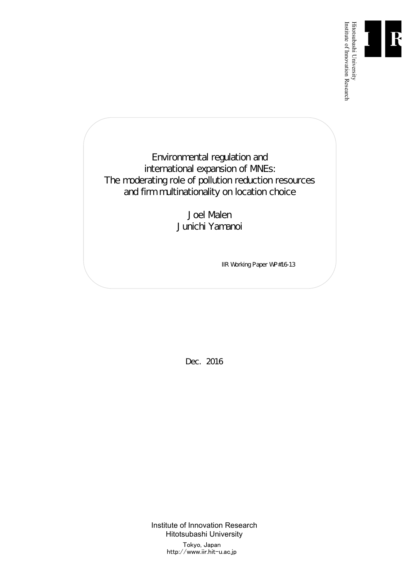

Institute of Innovation Research

Environmental regulation and international expansion of MNEs: The moderating role of pollution reduction resources and firm multinationality on location choice

> Joel Malen Junichi Yamanoi

> > IIR Working Paper WP#16-13

Dec. 2016

Institute of Innovation Research Hitotsubashi University Tokyo, Japan http://www.iir.hit-u.ac.jp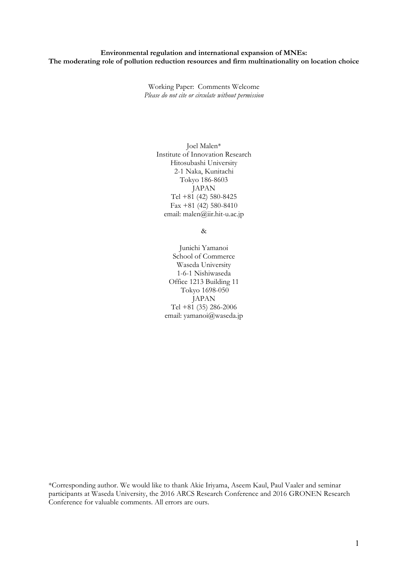## **Environmental regulation and international expansion of MNEs: The moderating role of pollution reduction resources and firm multinationality on location choice**

Working Paper: Comments Welcome *Please do not cite or circulate without permission* 

> Joel Malen\* Institute of Innovation Research Hitosubashi University 2-1 Naka, Kunitachi Tokyo 186-8603 JAPAN Tel +81 (42) 580-8425 Fax +81 (42) 580-8410 email: malen@iir.hit-u.ac.jp

> > &

Junichi Yamanoi School of Commerce Waseda University 1-6-1 Nishiwaseda Office 1213 Building 11 Tokyo 1698-050 JAPAN Tel  $+81$  (35) 286-2006 email: yamanoi@waseda.jp

\*Corresponding author. We would like to thank Akie Iriyama, Aseem Kaul, Paul Vaaler and seminar participants at Waseda University, the 2016 ARCS Research Conference and 2016 GRONEN Research Conference for valuable comments. All errors are ours.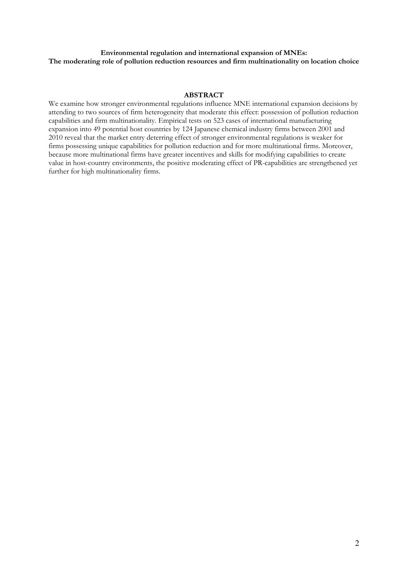# **Environmental regulation and international expansion of MNEs: The moderating role of pollution reduction resources and firm multinationality on location choice**

## **ABSTRACT**

We examine how stronger environmental regulations influence MNE international expansion decisions by attending to two sources of firm heterogeneity that moderate this effect: possession of pollution reduction capabilities and firm multinationality. Empirical tests on 523 cases of international manufacturing expansion into 49 potential host countries by 124 Japanese chemical industry firms between 2001 and 2010 reveal that the market entry deterring effect of stronger environmental regulations is weaker for firms possessing unique capabilities for pollution reduction and for more multinational firms. Moreover, because more multinational firms have greater incentives and skills for modifying capabilities to create value in host-country environments, the positive moderating effect of PR-capabilities are strengthened yet further for high multinationality firms.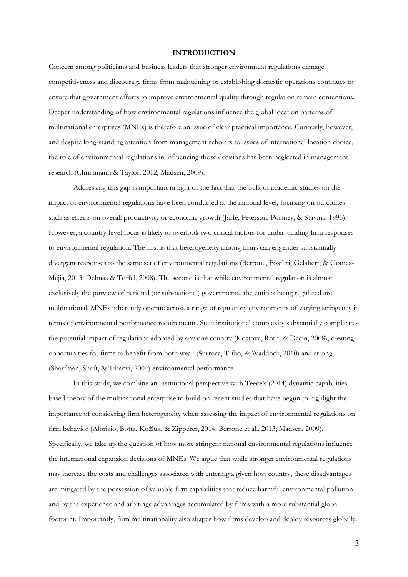#### **INTRODUCTION**

Concern among politicians and business leaders that stronger environment regulations damage competitiveness and discourage firms from maintaining or establishing domestic operations continues to ensure that government efforts to improve environmental quality through regulation remain contentious. Deeper understanding of how environmental regulations influence the global location patterns of multinational enterprises (MNEs) is therefore an issue of clear practical importance. Curiously, however, and despite long-standing attention from management scholars to issues of international location choice, the role of environmental regulations in influencing those decisions has been neglected in management research (Christmann & Taylor, 2012; Madsen, 2009).

 Addressing this gap is important in light of the fact that the bulk of academic studies on the impact of environmental regulations have been conducted at the national level, focusing on outcomes such as effects on overall productivity or economic growth (Jaffe, Peterson, Portney, & Stavins, 1995). However, a country-level focus is likely to overlook two critical factors for understanding firm responses to environmental regulation. The first is that heterogeneity among firms can engender substantially divergent responses to the same set of environmental regulations (Berrone, Fosfuri, Gelabert, & Gomez-Mejia, 2013; Delmas & Toffel, 2008). The second is that while environmental regulation is almost exclusively the purview of national (or sub-national) governments, the entities being regulated are multinational. MNEs inherently operate across a range of regulatory environments of varying stringency in terms of environmental performance requirements. Such institutional complexity substantially complicates the potential impact of regulations adopted by any one country (Kostova, Roth, & Dacin, 2008), creating opportunities for firms to benefit from both weak (Surroca, Tribo, & Waddock, 2010) and strong (Sharfman, Shaft, & Tihanyi, 2004) environmental performance.

 In this study, we combine an institutional perspective with Teece's (2014) dynamic capabilitiesbased theory of the multinational enterprise to build on recent studies that have begun to highlight the importance of considering firm heterogeneity when assessing the impact of environmental regulations on firm behavior (Albrizio, Botta, Koźluk, & Zipperer, 2014; Berrone et al., 2013; Madsen, 2009). Specifically, we take up the question of how more stringent national environmental regulations influence the international expansion decisions of MNEs. We argue that while stronger environmental regulations may increase the costs and challenges associated with entering a given host country, these disadvantages are mitigated by the possession of valuable firm capabilities that reduce harmful environmental pollution and by the experience and arbitrage advantages accumulated by firms with a more substantial global footprint. Importantly, firm multinationality also shapes how firms develop and deploy resources globally.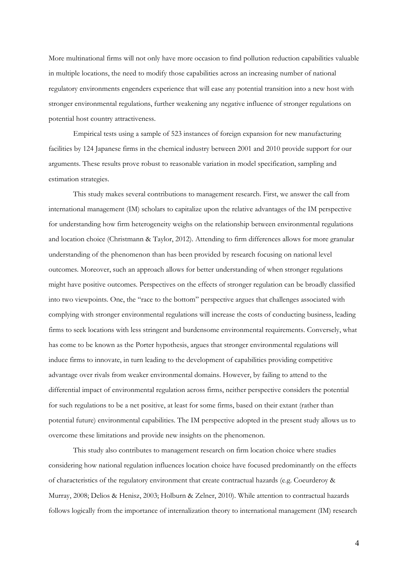More multinational firms will not only have more occasion to find pollution reduction capabilities valuable in multiple locations, the need to modify those capabilities across an increasing number of national regulatory environments engenders experience that will ease any potential transition into a new host with stronger environmental regulations, further weakening any negative influence of stronger regulations on potential host country attractiveness.

 Empirical tests using a sample of 523 instances of foreign expansion for new manufacturing facilities by 124 Japanese firms in the chemical industry between 2001 and 2010 provide support for our arguments. These results prove robust to reasonable variation in model specification, sampling and estimation strategies.

This study makes several contributions to management research. First, we answer the call from international management (IM) scholars to capitalize upon the relative advantages of the IM perspective for understanding how firm heterogeneity weighs on the relationship between environmental regulations and location choice (Christmann & Taylor, 2012). Attending to firm differences allows for more granular understanding of the phenomenon than has been provided by research focusing on national level outcomes. Moreover, such an approach allows for better understanding of when stronger regulations might have positive outcomes. Perspectives on the effects of stronger regulation can be broadly classified into two viewpoints. One, the "race to the bottom" perspective argues that challenges associated with complying with stronger environmental regulations will increase the costs of conducting business, leading firms to seek locations with less stringent and burdensome environmental requirements. Conversely, what has come to be known as the Porter hypothesis, argues that stronger environmental regulations will induce firms to innovate, in turn leading to the development of capabilities providing competitive advantage over rivals from weaker environmental domains. However, by failing to attend to the differential impact of environmental regulation across firms, neither perspective considers the potential for such regulations to be a net positive, at least for some firms, based on their extant (rather than potential future) environmental capabilities. The IM perspective adopted in the present study allows us to overcome these limitations and provide new insights on the phenomenon.

 This study also contributes to management research on firm location choice where studies considering how national regulation influences location choice have focused predominantly on the effects of characteristics of the regulatory environment that create contractual hazards (e.g. Coeurderoy & Murray, 2008; Delios & Henisz, 2003; Holburn & Zelner, 2010). While attention to contractual hazards follows logically from the importance of internalization theory to international management (IM) research

4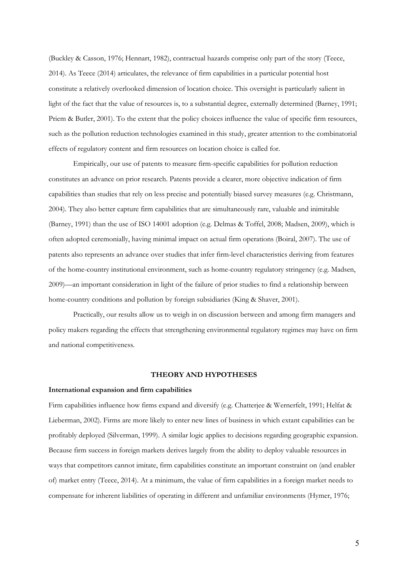(Buckley & Casson, 1976; Hennart, 1982), contractual hazards comprise only part of the story (Teece, 2014). As Teece (2014) articulates, the relevance of firm capabilities in a particular potential host constitute a relatively overlooked dimension of location choice. This oversight is particularly salient in light of the fact that the value of resources is, to a substantial degree, externally determined (Barney, 1991; Priem & Butler, 2001). To the extent that the policy choices influence the value of specific firm resources, such as the pollution reduction technologies examined in this study, greater attention to the combinatorial effects of regulatory content and firm resources on location choice is called for.

Empirically, our use of patents to measure firm-specific capabilities for pollution reduction constitutes an advance on prior research. Patents provide a clearer, more objective indication of firm capabilities than studies that rely on less precise and potentially biased survey measures (e.g. Christmann, 2004). They also better capture firm capabilities that are simultaneously rare, valuable and inimitable (Barney, 1991) than the use of ISO 14001 adoption (e.g. Delmas & Toffel, 2008; Madsen, 2009), which is often adopted ceremonially, having minimal impact on actual firm operations (Boiral, 2007). The use of patents also represents an advance over studies that infer firm-level characteristics deriving from features of the home-country institutional environment, such as home-country regulatory stringency (e.g. Madsen, 2009)—an important consideration in light of the failure of prior studies to find a relationship between home-country conditions and pollution by foreign subsidiaries (King & Shaver, 2001).

 Practically, our results allow us to weigh in on discussion between and among firm managers and policy makers regarding the effects that strengthening environmental regulatory regimes may have on firm and national competitiveness.

#### **THEORY AND HYPOTHESES**

#### **International expansion and firm capabilities**

Firm capabilities influence how firms expand and diversify (e.g. Chatterjee & Wernerfelt, 1991; Helfat & Lieberman, 2002). Firms are more likely to enter new lines of business in which extant capabilities can be profitably deployed (Silverman, 1999). A similar logic applies to decisions regarding geographic expansion. Because firm success in foreign markets derives largely from the ability to deploy valuable resources in ways that competitors cannot imitate, firm capabilities constitute an important constraint on (and enabler of) market entry (Teece, 2014). At a minimum, the value of firm capabilities in a foreign market needs to compensate for inherent liabilities of operating in different and unfamiliar environments (Hymer, 1976;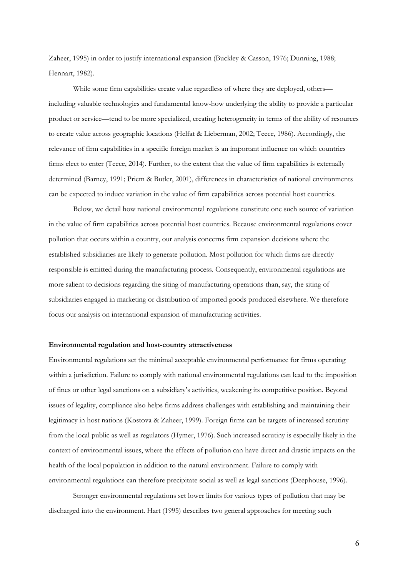Zaheer, 1995) in order to justify international expansion (Buckley & Casson, 1976; Dunning, 1988; Hennart, 1982).

While some firm capabilities create value regardless of where they are deployed, others including valuable technologies and fundamental know-how underlying the ability to provide a particular product or service—tend to be more specialized, creating heterogeneity in terms of the ability of resources to create value across geographic locations (Helfat & Lieberman, 2002; Teece, 1986). Accordingly, the relevance of firm capabilities in a specific foreign market is an important influence on which countries firms elect to enter (Teece, 2014). Further, to the extent that the value of firm capabilities is externally determined (Barney, 1991; Priem & Butler, 2001), differences in characteristics of national environments can be expected to induce variation in the value of firm capabilities across potential host countries.

Below, we detail how national environmental regulations constitute one such source of variation in the value of firm capabilities across potential host countries. Because environmental regulations cover pollution that occurs within a country, our analysis concerns firm expansion decisions where the established subsidiaries are likely to generate pollution. Most pollution for which firms are directly responsible is emitted during the manufacturing process. Consequently, environmental regulations are more salient to decisions regarding the siting of manufacturing operations than, say, the siting of subsidiaries engaged in marketing or distribution of imported goods produced elsewhere. We therefore focus our analysis on international expansion of manufacturing activities.

#### **Environmental regulation and host-country attractiveness**

Environmental regulations set the minimal acceptable environmental performance for firms operating within a jurisdiction. Failure to comply with national environmental regulations can lead to the imposition of fines or other legal sanctions on a subsidiary's activities, weakening its competitive position. Beyond issues of legality, compliance also helps firms address challenges with establishing and maintaining their legitimacy in host nations (Kostova & Zaheer, 1999). Foreign firms can be targets of increased scrutiny from the local public as well as regulators (Hymer, 1976). Such increased scrutiny is especially likely in the context of environmental issues, where the effects of pollution can have direct and drastic impacts on the health of the local population in addition to the natural environment. Failure to comply with environmental regulations can therefore precipitate social as well as legal sanctions (Deephouse, 1996).

 Stronger environmental regulations set lower limits for various types of pollution that may be discharged into the environment. Hart (1995) describes two general approaches for meeting such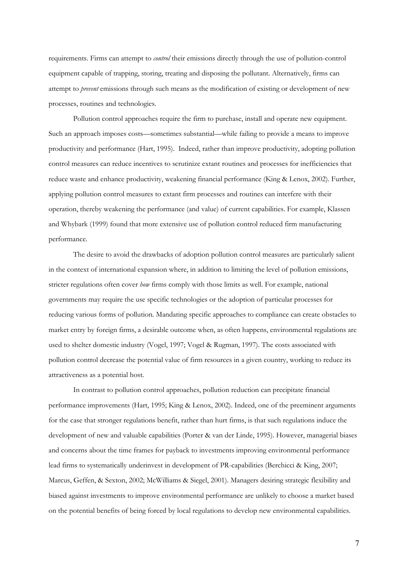requirements. Firms can attempt to *control* their emissions directly through the use of pollution-control equipment capable of trapping, storing, treating and disposing the pollutant. Alternatively, firms can attempt to *prevent* emissions through such means as the modification of existing or development of new processes, routines and technologies.

Pollution control approaches require the firm to purchase, install and operate new equipment. Such an approach imposes costs—sometimes substantial—while failing to provide a means to improve productivity and performance (Hart, 1995). Indeed, rather than improve productivity, adopting pollution control measures can reduce incentives to scrutinize extant routines and processes for inefficiencies that reduce waste and enhance productivity, weakening financial performance (King & Lenox, 2002). Further, applying pollution control measures to extant firm processes and routines can interfere with their operation, thereby weakening the performance (and value) of current capabilities. For example, Klassen and Whybark (1999) found that more extensive use of pollution control reduced firm manufacturing performance.

 The desire to avoid the drawbacks of adoption pollution control measures are particularly salient in the context of international expansion where, in addition to limiting the level of pollution emissions, stricter regulations often cover *how* firms comply with those limits as well. For example, national governments may require the use specific technologies or the adoption of particular processes for reducing various forms of pollution. Mandating specific approaches to compliance can create obstacles to market entry by foreign firms, a desirable outcome when, as often happens, environmental regulations are used to shelter domestic industry (Vogel, 1997; Vogel & Rugman, 1997). The costs associated with pollution control decrease the potential value of firm resources in a given country, working to reduce its attractiveness as a potential host.

In contrast to pollution control approaches, pollution reduction can precipitate financial performance improvements (Hart, 1995; King & Lenox, 2002). Indeed, one of the preeminent arguments for the case that stronger regulations benefit, rather than hurt firms, is that such regulations induce the development of new and valuable capabilities (Porter & van der Linde, 1995). However, managerial biases and concerns about the time frames for payback to investments improving environmental performance lead firms to systematically underinvest in development of PR-capabilities (Berchicci & King, 2007; Marcus, Geffen, & Sexton, 2002; McWilliams & Siegel, 2001). Managers desiring strategic flexibility and biased against investments to improve environmental performance are unlikely to choose a market based on the potential benefits of being forced by local regulations to develop new environmental capabilities.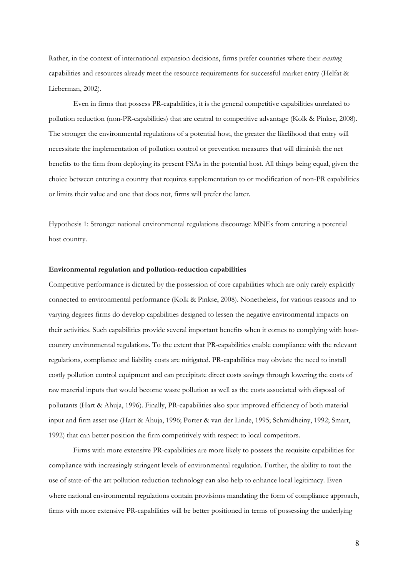Rather, in the context of international expansion decisions, firms prefer countries where their *existing* capabilities and resources already meet the resource requirements for successful market entry (Helfat & Lieberman, 2002).

 Even in firms that possess PR-capabilities, it is the general competitive capabilities unrelated to pollution reduction (non-PR-capabilities) that are central to competitive advantage (Kolk & Pinkse, 2008). The stronger the environmental regulations of a potential host, the greater the likelihood that entry will necessitate the implementation of pollution control or prevention measures that will diminish the net benefits to the firm from deploying its present FSAs in the potential host. All things being equal, given the choice between entering a country that requires supplementation to or modification of non-PR capabilities or limits their value and one that does not, firms will prefer the latter.

Hypothesis 1: Stronger national environmental regulations discourage MNEs from entering a potential host country.

### **Environmental regulation and pollution-reduction capabilities**

Competitive performance is dictated by the possession of core capabilities which are only rarely explicitly connected to environmental performance (Kolk & Pinkse, 2008). Nonetheless, for various reasons and to varying degrees firms do develop capabilities designed to lessen the negative environmental impacts on their activities. Such capabilities provide several important benefits when it comes to complying with hostcountry environmental regulations. To the extent that PR-capabilities enable compliance with the relevant regulations, compliance and liability costs are mitigated. PR-capabilities may obviate the need to install costly pollution control equipment and can precipitate direct costs savings through lowering the costs of raw material inputs that would become waste pollution as well as the costs associated with disposal of pollutants (Hart & Ahuja, 1996). Finally, PR-capabilities also spur improved efficiency of both material input and firm asset use (Hart & Ahuja, 1996; Porter & van der Linde, 1995; Schmidheiny, 1992; Smart, 1992) that can better position the firm competitively with respect to local competitors.

 Firms with more extensive PR-capabilities are more likely to possess the requisite capabilities for compliance with increasingly stringent levels of environmental regulation. Further, the ability to tout the use of state-of-the art pollution reduction technology can also help to enhance local legitimacy. Even where national environmental regulations contain provisions mandating the form of compliance approach, firms with more extensive PR-capabilities will be better positioned in terms of possessing the underlying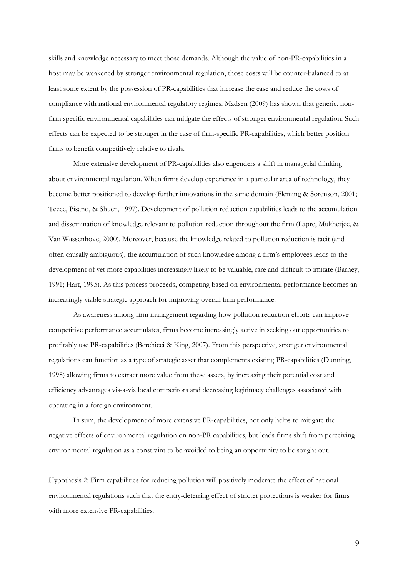skills and knowledge necessary to meet those demands. Although the value of non-PR-capabilities in a host may be weakened by stronger environmental regulation, those costs will be counter-balanced to at least some extent by the possession of PR-capabilities that increase the ease and reduce the costs of compliance with national environmental regulatory regimes. Madsen (2009) has shown that generic, nonfirm specific environmental capabilities can mitigate the effects of stronger environmental regulation. Such effects can be expected to be stronger in the case of firm-specific PR-capabilities, which better position firms to benefit competitively relative to rivals.

 More extensive development of PR-capabilities also engenders a shift in managerial thinking about environmental regulation. When firms develop experience in a particular area of technology, they become better positioned to develop further innovations in the same domain (Fleming & Sorenson, 2001; Teece, Pisano, & Shuen, 1997). Development of pollution reduction capabilities leads to the accumulation and dissemination of knowledge relevant to pollution reduction throughout the firm (Lapre, Mukherjee, & Van Wassenhove, 2000). Moreover, because the knowledge related to pollution reduction is tacit (and often causally ambiguous), the accumulation of such knowledge among a firm's employees leads to the development of yet more capabilities increasingly likely to be valuable, rare and difficult to imitate (Barney, 1991; Hart, 1995). As this process proceeds, competing based on environmental performance becomes an increasingly viable strategic approach for improving overall firm performance.

As awareness among firm management regarding how pollution reduction efforts can improve competitive performance accumulates, firms become increasingly active in seeking out opportunities to profitably use PR-capabilities (Berchicci & King, 2007). From this perspective, stronger environmental regulations can function as a type of strategic asset that complements existing PR-capabilities (Dunning, 1998) allowing firms to extract more value from these assets, by increasing their potential cost and efficiency advantages vis-a-vis local competitors and decreasing legitimacy challenges associated with operating in a foreign environment.

 In sum, the development of more extensive PR-capabilities, not only helps to mitigate the negative effects of environmental regulation on non-PR capabilities, but leads firms shift from perceiving environmental regulation as a constraint to be avoided to being an opportunity to be sought out.

Hypothesis 2: Firm capabilities for reducing pollution will positively moderate the effect of national environmental regulations such that the entry-deterring effect of stricter protections is weaker for firms with more extensive PR-capabilities.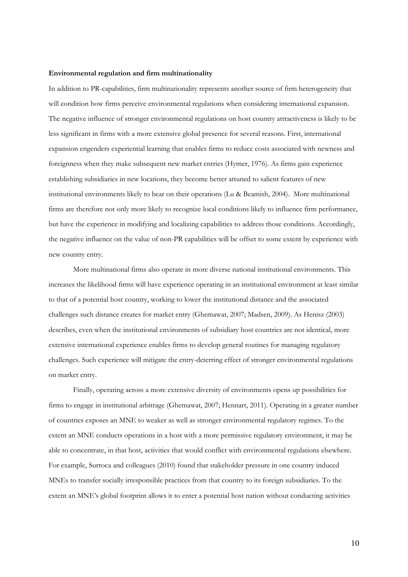#### **Environmental regulation and firm multinationality**

In addition to PR-capabilities, firm multinationality represents another source of firm heterogeneity that will condition how firms perceive environmental regulations when considering international expansion. The negative influence of stronger environmental regulations on host country attractiveness is likely to be less significant in firms with a more extensive global presence for several reasons. First, international expansion engenders experiential learning that enables firms to reduce costs associated with newness and foreignness when they make subsequent new market entries (Hymer, 1976). As firms gain experience establishing subsidiaries in new locations, they become better attuned to salient features of new institutional environments likely to bear on their operations (Lu & Beamish, 2004). More multinational firms are therefore not only more likely to recognize local conditions likely to influence firm performance, but have the experience in modifying and localizing capabilities to address those conditions. Accordingly, the negative influence on the value of non-PR capabilities will be offset to some extent by experience with new country entry.

More multinational firms also operate in more diverse national institutional environments. This increases the likelihood firms will have experience operating in an institutional environment at least similar to that of a potential host country, working to lower the institutional distance and the associated challenges such distance creates for market entry (Ghemawat, 2007; Madsen, 2009). As Henisz (2003) describes, even when the institutional environments of subsidiary host countries are not identical, more extensive international experience enables firms to develop general routines for managing regulatory challenges. Such experience will mitigate the entry-deterring effect of stronger environmental regulations on market entry.

Finally, operating across a more extensive diversity of environments opens up possibilities for firms to engage in institutional arbitrage (Ghemawat, 2007; Hennart, 2011). Operating in a greater number of countries exposes an MNE to weaker as well as stronger environmental regulatory regimes. To the extent an MNE conducts operations in a host with a more permissive regulatory environment, it may be able to concentrate, in that host, activities that would conflict with environmental regulations elsewhere. For example, Surroca and colleagues (2010) found that stakeholder pressure in one country induced MNEs to transfer socially irresponsible practices from that country to its foreign subsidiaries. To the extent an MNE's global footprint allows it to enter a potential host nation without conducting activities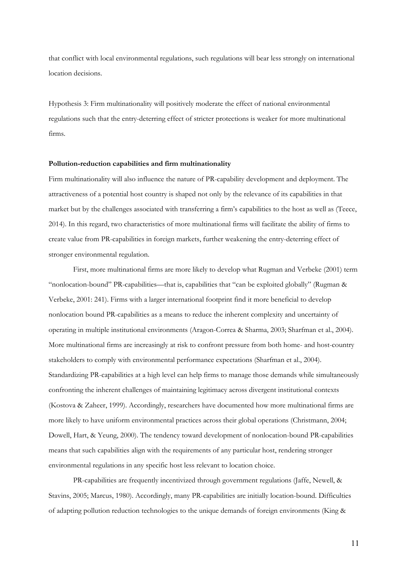that conflict with local environmental regulations, such regulations will bear less strongly on international location decisions.

Hypothesis 3: Firm multinationality will positively moderate the effect of national environmental regulations such that the entry-deterring effect of stricter protections is weaker for more multinational firms.

### **Pollution-reduction capabilities and firm multinationality**

Firm multinationality will also influence the nature of PR-capability development and deployment. The attractiveness of a potential host country is shaped not only by the relevance of its capabilities in that market but by the challenges associated with transferring a firm's capabilities to the host as well as (Teece, 2014). In this regard, two characteristics of more multinational firms will facilitate the ability of firms to create value from PR-capabilities in foreign markets, further weakening the entry-deterring effect of stronger environmental regulation.

First, more multinational firms are more likely to develop what Rugman and Verbeke (2001) term "nonlocation-bound" PR-capabilities—that is, capabilities that "can be exploited globally" (Rugman & Verbeke, 2001: 241). Firms with a larger international footprint find it more beneficial to develop nonlocation bound PR-capabilities as a means to reduce the inherent complexity and uncertainty of operating in multiple institutional environments (Aragon-Correa & Sharma, 2003; Sharfman et al., 2004). More multinational firms are increasingly at risk to confront pressure from both home- and host-country stakeholders to comply with environmental performance expectations (Sharfman et al., 2004). Standardizing PR-capabilities at a high level can help firms to manage those demands while simultaneously confronting the inherent challenges of maintaining legitimacy across divergent institutional contexts (Kostova & Zaheer, 1999). Accordingly, researchers have documented how more multinational firms are more likely to have uniform environmental practices across their global operations (Christmann, 2004; Dowell, Hart, & Yeung, 2000). The tendency toward development of nonlocation-bound PR-capabilities means that such capabilities align with the requirements of any particular host, rendering stronger environmental regulations in any specific host less relevant to location choice.

PR-capabilities are frequently incentivized through government regulations (Jaffe, Newell, & Stavins, 2005; Marcus, 1980). Accordingly, many PR-capabilities are initially location-bound. Difficulties of adapting pollution reduction technologies to the unique demands of foreign environments (King &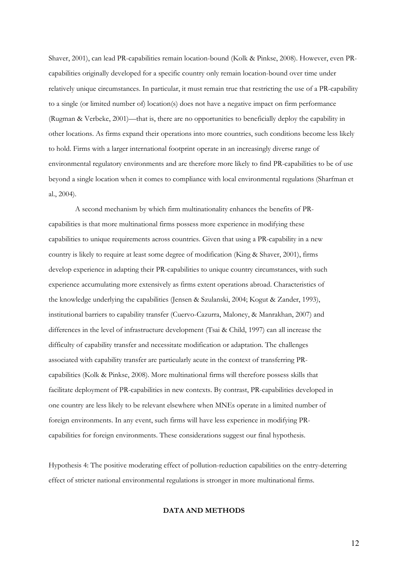Shaver, 2001), can lead PR-capabilities remain location-bound (Kolk & Pinkse, 2008). However, even PRcapabilities originally developed for a specific country only remain location-bound over time under relatively unique circumstances. In particular, it must remain true that restricting the use of a PR-capability to a single (or limited number of) location(s) does not have a negative impact on firm performance (Rugman & Verbeke, 2001)—that is, there are no opportunities to beneficially deploy the capability in other locations. As firms expand their operations into more countries, such conditions become less likely to hold. Firms with a larger international footprint operate in an increasingly diverse range of environmental regulatory environments and are therefore more likely to find PR-capabilities to be of use beyond a single location when it comes to compliance with local environmental regulations (Sharfman et al., 2004).

 A second mechanism by which firm multinationality enhances the benefits of PRcapabilities is that more multinational firms possess more experience in modifying these capabilities to unique requirements across countries. Given that using a PR-capability in a new country is likely to require at least some degree of modification (King & Shaver, 2001), firms develop experience in adapting their PR-capabilities to unique country circumstances, with such experience accumulating more extensively as firms extent operations abroad. Characteristics of the knowledge underlying the capabilities (Jensen & Szulanski, 2004; Kogut & Zander, 1993), institutional barriers to capability transfer (Cuervo-Cazurra, Maloney, & Manrakhan, 2007) and differences in the level of infrastructure development (Tsai & Child, 1997) can all increase the difficulty of capability transfer and necessitate modification or adaptation. The challenges associated with capability transfer are particularly acute in the context of transferring PRcapabilities (Kolk & Pinkse, 2008). More multinational firms will therefore possess skills that facilitate deployment of PR-capabilities in new contexts. By contrast, PR-capabilities developed in one country are less likely to be relevant elsewhere when MNEs operate in a limited number of foreign environments. In any event, such firms will have less experience in modifying PRcapabilities for foreign environments. These considerations suggest our final hypothesis.

Hypothesis 4: The positive moderating effect of pollution-reduction capabilities on the entry-deterring effect of stricter national environmental regulations is stronger in more multinational firms.

# **DATA AND METHODS**

12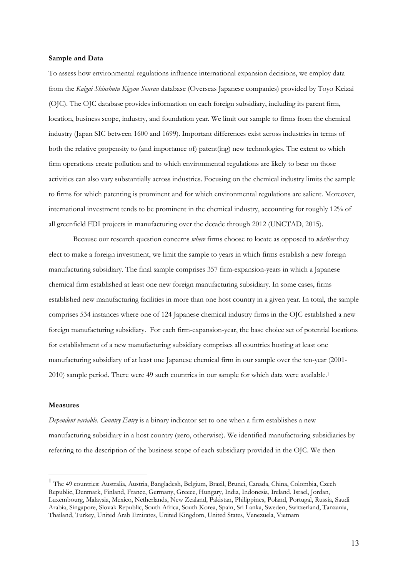## **Sample and Data**

To assess how environmental regulations influence international expansion decisions, we employ data from the *Kaigai Shinshutu Kigyou Souran* database (Overseas Japanese companies) provided by Toyo Keizai (OJC). The OJC database provides information on each foreign subsidiary, including its parent firm, location, business scope, industry, and foundation year. We limit our sample to firms from the chemical industry (Japan SIC between 1600 and 1699). Important differences exist across industries in terms of both the relative propensity to (and importance of) patent(ing) new technologies. The extent to which firm operations create pollution and to which environmental regulations are likely to bear on those activities can also vary substantially across industries. Focusing on the chemical industry limits the sample to firms for which patenting is prominent and for which environmental regulations are salient. Moreover, international investment tends to be prominent in the chemical industry, accounting for roughly 12% of all greenfield FDI projects in manufacturing over the decade through 2012 (UNCTAD, 2015).

Because our research question concerns *where* firms choose to locate as opposed to *whether* they elect to make a foreign investment, we limit the sample to years in which firms establish a new foreign manufacturing subsidiary. The final sample comprises 357 firm-expansion-years in which a Japanese chemical firm established at least one new foreign manufacturing subsidiary. In some cases, firms established new manufacturing facilities in more than one host country in a given year. In total, the sample comprises 534 instances where one of 124 Japanese chemical industry firms in the OJC established a new foreign manufacturing subsidiary. For each firm-expansion-year, the base choice set of potential locations for establishment of a new manufacturing subsidiary comprises all countries hosting at least one manufacturing subsidiary of at least one Japanese chemical firm in our sample over the ten-year (2001- 2010) sample period. There were 49 such countries in our sample for which data were available.1

#### **Measures**

1

*Dependent variable. Country Entry* is a binary indicator set to one when a firm establishes a new manufacturing subsidiary in a host country (zero, otherwise). We identified manufacturing subsidiaries by referring to the description of the business scope of each subsidiary provided in the OJC. We then

<sup>&</sup>lt;sup>1</sup> The 49 countries: Australia, Austria, Bangladesh, Belgium, Brazil, Brunei, Canada, China, Colombia, Czech Republic, Denmark, Finland, France, Germany, Greece, Hungary, India, Indonesia, Ireland, Israel, Jordan, Luxembourg, Malaysia, Mexico, Netherlands, New Zealand, Pakistan, Philippines, Poland, Portugal, Russia, Saudi Arabia, Singapore, Slovak Republic, South Africa, South Korea, Spain, Sri Lanka, Sweden, Switzerland, Tanzania, Thailand, Turkey, United Arab Emirates, United Kingdom, United States, Venezuela, Vietnam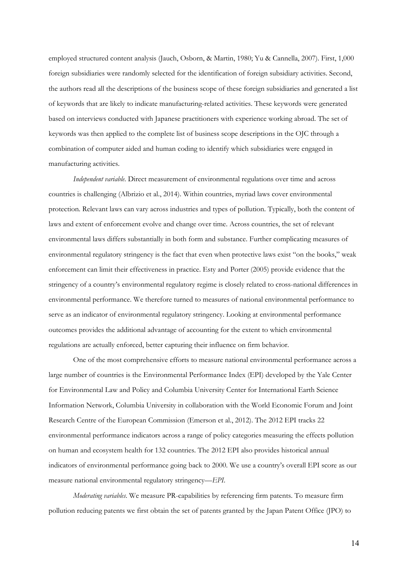employed structured content analysis (Jauch, Osborn, & Martin, 1980; Yu & Cannella, 2007). First, 1,000 foreign subsidiaries were randomly selected for the identification of foreign subsidiary activities. Second, the authors read all the descriptions of the business scope of these foreign subsidiaries and generated a list of keywords that are likely to indicate manufacturing-related activities. These keywords were generated based on interviews conducted with Japanese practitioners with experience working abroad. The set of keywords was then applied to the complete list of business scope descriptions in the OJC through a combination of computer aided and human coding to identify which subsidiaries were engaged in manufacturing activities.

*Independent variable*. Direct measurement of environmental regulations over time and across countries is challenging (Albrizio et al., 2014). Within countries, myriad laws cover environmental protection. Relevant laws can vary across industries and types of pollution. Typically, both the content of laws and extent of enforcement evolve and change over time. Across countries, the set of relevant environmental laws differs substantially in both form and substance. Further complicating measures of environmental regulatory stringency is the fact that even when protective laws exist "on the books," weak enforcement can limit their effectiveness in practice. Esty and Porter (2005) provide evidence that the stringency of a country's environmental regulatory regime is closely related to cross-national differences in environmental performance. We therefore turned to measures of national environmental performance to serve as an indicator of environmental regulatory stringency. Looking at environmental performance outcomes provides the additional advantage of accounting for the extent to which environmental regulations are actually enforced, better capturing their influence on firm behavior.

 One of the most comprehensive efforts to measure national environmental performance across a large number of countries is the Environmental Performance Index (EPI) developed by the Yale Center for Environmental Law and Policy and Columbia University Center for International Earth Science Information Network, Columbia University in collaboration with the World Economic Forum and Joint Research Centre of the European Commission (Emerson et al., 2012). The 2012 EPI tracks 22 environmental performance indicators across a range of policy categories measuring the effects pollution on human and ecosystem health for 132 countries. The 2012 EPI also provides historical annual indicators of environmental performance going back to 2000. We use a country's overall EPI score as our measure national environmental regulatory stringency—*EPI*.

*Moderating variables*. We measure PR-capabilities by referencing firm patents. To measure firm pollution reducing patents we first obtain the set of patents granted by the Japan Patent Office (JPO) to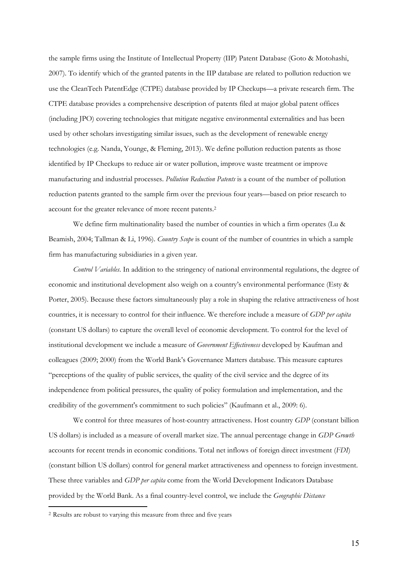the sample firms using the Institute of Intellectual Property (IIP) Patent Database (Goto & Motohashi, 2007). To identify which of the granted patents in the IIP database are related to pollution reduction we use the CleanTech PatentEdge (CTPE) database provided by IP Checkups—a private research firm. The CTPE database provides a comprehensive description of patents filed at major global patent offices (including JPO) covering technologies that mitigate negative environmental externalities and has been used by other scholars investigating similar issues, such as the development of renewable energy technologies (e.g. Nanda, Younge, & Fleming, 2013). We define pollution reduction patents as those identified by IP Checkups to reduce air or water pollution, improve waste treatment or improve manufacturing and industrial processes. *Pollution Reduction Patents* is a count of the number of pollution reduction patents granted to the sample firm over the previous four years—based on prior research to account for the greater relevance of more recent patents.2

We define firm multinationality based the number of counties in which a firm operates (Lu & Beamish, 2004; Tallman & Li, 1996). *Country Scope* is count of the number of countries in which a sample firm has manufacturing subsidiaries in a given year.

*Control Variables*. In addition to the stringency of national environmental regulations, the degree of economic and institutional development also weigh on a country's environmental performance (Esty & Porter, 2005). Because these factors simultaneously play a role in shaping the relative attractiveness of host countries, it is necessary to control for their influence. We therefore include a measure of *GDP per capita* (constant US dollars) to capture the overall level of economic development. To control for the level of institutional development we include a measure of *Government Effectiveness* developed by Kaufman and colleagues (2009; 2000) from the World Bank's Governance Matters database. This measure captures "perceptions of the quality of public services, the quality of the civil service and the degree of its independence from political pressures, the quality of policy formulation and implementation, and the credibility of the government's commitment to such policies" (Kaufmann et al., 2009: 6).

We control for three measures of host-country attractiveness. Host country *GDP* (constant billion US dollars) is included as a measure of overall market size. The annual percentage change in *GDP Growth* accounts for recent trends in economic conditions. Total net inflows of foreign direct investment (*FDI*) (constant billion US dollars) control for general market attractiveness and openness to foreign investment. These three variables and *GDP per capita* come from the World Development Indicators Database provided by the World Bank. As a final country-level control, we include the *Geographic Distance*

1

<sup>2</sup> Results are robust to varying this measure from three and five years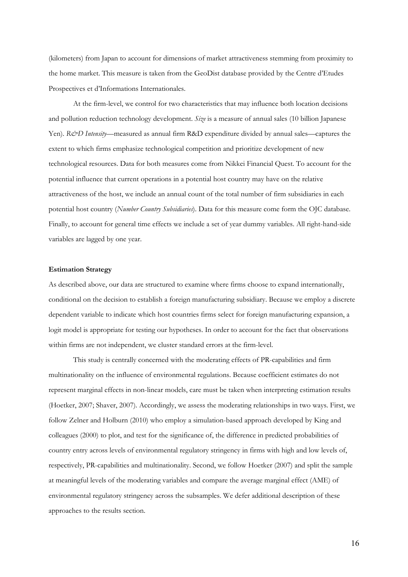(kilometers) from Japan to account for dimensions of market attractiveness stemming from proximity to the home market. This measure is taken from the GeoDist database provided by the Centre d'Etudes Prospectives et d'Informations Internationales.

 At the firm-level, we control for two characteristics that may influence both location decisions and pollution reduction technology development. *Size* is a measure of annual sales (10 billion Japanese Yen). *R&D Intensity*—measured as annual firm R&D expenditure divided by annual sales—captures the extent to which firms emphasize technological competition and prioritize development of new technological resources. Data for both measures come from Nikkei Financial Quest. To account for the potential influence that current operations in a potential host country may have on the relative attractiveness of the host, we include an annual count of the total number of firm subsidiaries in each potential host country (*Number Country Subsidiaries*). Data for this measure come form the OJC database. Finally, to account for general time effects we include a set of year dummy variables. All right-hand-side variables are lagged by one year.

## **Estimation Strategy**

As described above, our data are structured to examine where firms choose to expand internationally, conditional on the decision to establish a foreign manufacturing subsidiary. Because we employ a discrete dependent variable to indicate which host countries firms select for foreign manufacturing expansion, a logit model is appropriate for testing our hypotheses. In order to account for the fact that observations within firms are not independent, we cluster standard errors at the firm-level.

 This study is centrally concerned with the moderating effects of PR-capabilities and firm multinationality on the influence of environmental regulations. Because coefficient estimates do not represent marginal effects in non-linear models, care must be taken when interpreting estimation results (Hoetker, 2007; Shaver, 2007). Accordingly, we assess the moderating relationships in two ways. First, we follow Zelner and Holburn (2010) who employ a simulation-based approach developed by King and colleagues (2000) to plot, and test for the significance of, the difference in predicted probabilities of country entry across levels of environmental regulatory stringency in firms with high and low levels of, respectively, PR-capabilities and multinationality. Second, we follow Hoetker (2007) and split the sample at meaningful levels of the moderating variables and compare the average marginal effect (AME) of environmental regulatory stringency across the subsamples. We defer additional description of these approaches to the results section.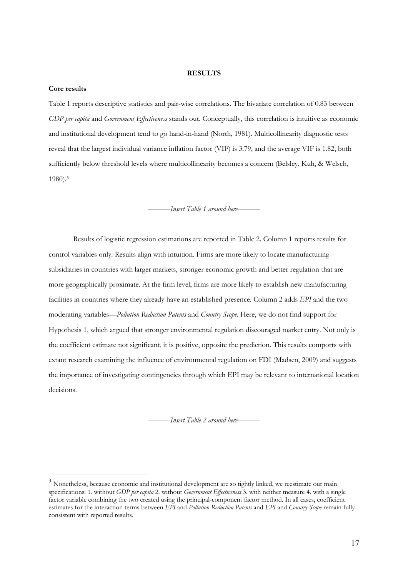### **RESULTS**

#### **Core results**

1

Table 1 reports descriptive statistics and pair-wise correlations. The bivariate correlation of 0.83 between *GDP per capita* and *Government Effectiveness* stands out. Conceptually, this correlation is intuitive as economic and institutional development tend to go hand-in-hand (North, 1981). Multicollinearity diagnostic tests reveal that the largest individual variance inflation factor (VIF) is 3.79, and the average VIF is 1.82, both sufficiently below threshold levels where multicollinearity becomes a concern (Belsley, Kuh, & Welsch, 1980).3

———*Insert Table 1 around here*———

 Results of logistic regression estimations are reported in Table 2. Column 1 reports results for control variables only. Results align with intuition. Firms are more likely to locate manufacturing subsidiaries in countries with larger markets, stronger economic growth and better regulation that are more geographically proximate. At the firm level, firms are more likely to establish new manufacturing facilities in countries where they already have an established presence. Column 2 adds *EPI* and the two moderating variables—*Pollution Reduction Patents* and *Country Scope*. Here, we do not find support for Hypothesis 1, which argued that stronger environmental regulation discouraged market entry. Not only is the coefficient estimate not significant, it is positive, opposite the prediction. This results comports with extant research examining the influence of environmental regulation on FDI (Madsen, 2009) and suggests the importance of investigating contingencies through which EPI may be relevant to international location decisions.

———*Insert Table 2 around here*———

<sup>&</sup>lt;sup>3</sup> Nonetheless, because economic and institutional development are so tightly linked, we reestimate our main specifications: 1. without *GDP per capita* 2. without *Government Effectiveness* 3. with neither measure 4. with a single factor variable combining the two created using the principal-component factor method. In all cases, coefficient estimates for the interaction terms between *EPI* and *Pollution Reduction Patents* and *EPI* and *Country Scope* remain fully consistent with reported results.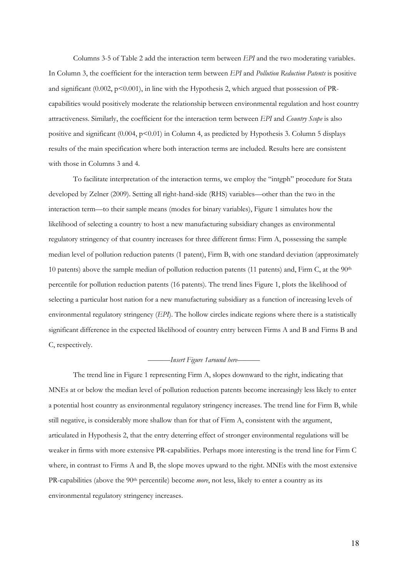Columns 3-5 of Table 2 add the interaction term between *EPI* and the two moderating variables. In Column 3, the coefficient for the interaction term between *EPI* and *Pollution Reduction Patents* is positive and significant  $(0.002, p<0.001)$ , in line with the Hypothesis 2, which argued that possession of PRcapabilities would positively moderate the relationship between environmental regulation and host country attractiveness. Similarly, the coefficient for the interaction term between *EPI* and *Country Scope* is also positive and significant (0.004, p<0.01) in Column 4, as predicted by Hypothesis 3. Column 5 displays results of the main specification where both interaction terms are included. Results here are consistent with those in Columns 3 and 4.

To facilitate interpretation of the interaction terms, we employ the "intgph" procedure for Stata developed by Zelner (2009). Setting all right-hand-side (RHS) variables—other than the two in the interaction term—to their sample means (modes for binary variables), Figure 1 simulates how the likelihood of selecting a country to host a new manufacturing subsidiary changes as environmental regulatory stringency of that country increases for three different firms: Firm A, possessing the sample median level of pollution reduction patents (1 patent), Firm B, with one standard deviation (approximately 10 patents) above the sample median of pollution reduction patents (11 patents) and, Firm C, at the 90th percentile for pollution reduction patents (16 patents). The trend lines Figure 1, plots the likelihood of selecting a particular host nation for a new manufacturing subsidiary as a function of increasing levels of environmental regulatory stringency (*EPI*). The hollow circles indicate regions where there is a statistically significant difference in the expected likelihood of country entry between Firms A and B and Firms B and C, respectively.

# ———*Insert Figure 1around here*———

The trend line in Figure 1 representing Firm A, slopes downward to the right, indicating that MNEs at or below the median level of pollution reduction patents become increasingly less likely to enter a potential host country as environmental regulatory stringency increases. The trend line for Firm B, while still negative, is considerably more shallow than for that of Firm A, consistent with the argument, articulated in Hypothesis 2, that the entry deterring effect of stronger environmental regulations will be weaker in firms with more extensive PR-capabilities. Perhaps more interesting is the trend line for Firm C where, in contrast to Firms A and B, the slope moves upward to the right. MNEs with the most extensive PR-capabilities (above the 90<sup>th</sup> percentile) become *more*, not less, likely to enter a country as its environmental regulatory stringency increases.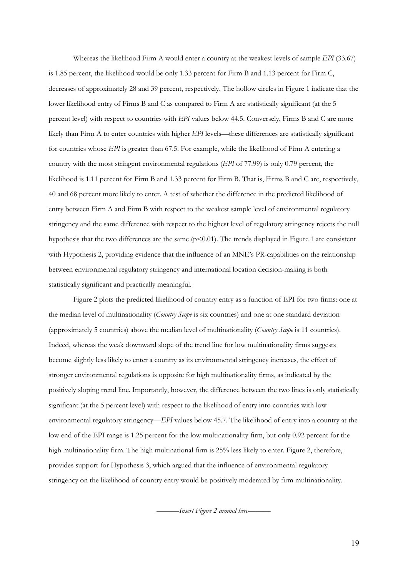Whereas the likelihood Firm A would enter a country at the weakest levels of sample *EPI* (33.67) is 1.85 percent, the likelihood would be only 1.33 percent for Firm B and 1.13 percent for Firm C, decreases of approximately 28 and 39 percent, respectively. The hollow circles in Figure 1 indicate that the lower likelihood entry of Firms B and C as compared to Firm A are statistically significant (at the 5 percent level) with respect to countries with *EPI* values below 44.5. Conversely, Firms B and C are more likely than Firm A to enter countries with higher *EPI* levels—these differences are statistically significant for countries whose *EPI* is greater than 67.5. For example, while the likelihood of Firm A entering a country with the most stringent environmental regulations (*EPI* of 77.99) is only 0.79 percent, the likelihood is 1.11 percent for Firm B and 1.33 percent for Firm B. That is, Firms B and C are, respectively, 40 and 68 percent more likely to enter. A test of whether the difference in the predicted likelihood of entry between Firm A and Firm B with respect to the weakest sample level of environmental regulatory stringency and the same difference with respect to the highest level of regulatory stringency rejects the null hypothesis that the two differences are the same  $(p<0.01)$ . The trends displayed in Figure 1 are consistent with Hypothesis 2, providing evidence that the influence of an MNE's PR-capabilities on the relationship between environmental regulatory stringency and international location decision-making is both statistically significant and practically meaningful.

Figure 2 plots the predicted likelihood of country entry as a function of EPI for two firms: one at the median level of multinationality (*Country Scope* is six countries) and one at one standard deviation (approximately 5 countries) above the median level of multinationality (*Country Scope* is 11 countries). Indeed, whereas the weak downward slope of the trend line for low multinationality firms suggests become slightly less likely to enter a country as its environmental stringency increases, the effect of stronger environmental regulations is opposite for high multinationality firms, as indicated by the positively sloping trend line. Importantly, however, the difference between the two lines is only statistically significant (at the 5 percent level) with respect to the likelihood of entry into countries with low environmental regulatory stringency—*EPI* values below 45.7. The likelihood of entry into a country at the low end of the EPI range is 1.25 percent for the low multinationality firm, but only 0.92 percent for the high multinationality firm. The high multinational firm is 25% less likely to enter. Figure 2, therefore, provides support for Hypothesis 3, which argued that the influence of environmental regulatory stringency on the likelihood of country entry would be positively moderated by firm multinationality.

———*Insert Figure 2 around here*———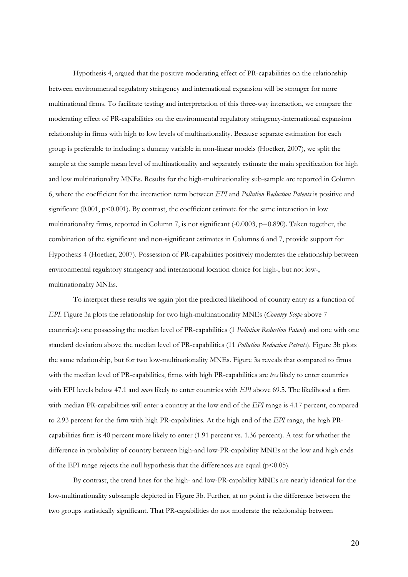Hypothesis 4, argued that the positive moderating effect of PR-capabilities on the relationship between environmental regulatory stringency and international expansion will be stronger for more multinational firms. To facilitate testing and interpretation of this three-way interaction, we compare the moderating effect of PR-capabilities on the environmental regulatory stringency-international expansion relationship in firms with high to low levels of multinationality. Because separate estimation for each group is preferable to including a dummy variable in non-linear models (Hoetker, 2007), we split the sample at the sample mean level of multinationality and separately estimate the main specification for high and low multinationality MNEs. Results for the high-multinationality sub-sample are reported in Column 6, where the coefficient for the interaction term between *EPI* and *Pollution Reduction Patents* is positive and significant  $(0.001, p<0.001)$ . By contrast, the coefficient estimate for the same interaction in low multinationality firms, reported in Column 7, is not significant  $(-0.0003, p=0.890)$ . Taken together, the combination of the significant and non-significant estimates in Columns 6 and 7, provide support for Hypothesis 4 (Hoetker, 2007). Possession of PR-capabilities positively moderates the relationship between environmental regulatory stringency and international location choice for high-, but not low-, multinationality MNEs.

 To interpret these results we again plot the predicted likelihood of country entry as a function of *EPI*. Figure 3a plots the relationship for two high-multinationality MNEs (*Country Scope* above 7 countries): one possessing the median level of PR-capabilities (1 *Pollution Reduction Patent*) and one with one standard deviation above the median level of PR-capabilities (11 *Pollution Reduction Patents*). Figure 3b plots the same relationship, but for two low-multinationality MNEs. Figure 3a reveals that compared to firms with the median level of PR-capabilities, firms with high PR-capabilities are *less* likely to enter countries with EPI levels below 47.1 and *more* likely to enter countries with *EPI* above 69.5. The likelihood a firm with median PR-capabilities will enter a country at the low end of the *EPI* range is 4.17 percent, compared to 2.93 percent for the firm with high PR-capabilities. At the high end of the *EPI* range, the high PRcapabilities firm is 40 percent more likely to enter (1.91 percent vs. 1.36 percent). A test for whether the difference in probability of country between high-and low-PR-capability MNEs at the low and high ends of the EPI range rejects the null hypothesis that the differences are equal ( $p$ <0.05).

By contrast, the trend lines for the high- and low-PR-capability MNEs are nearly identical for the low-multinationality subsample depicted in Figure 3b. Further, at no point is the difference between the two groups statistically significant. That PR-capabilities do not moderate the relationship between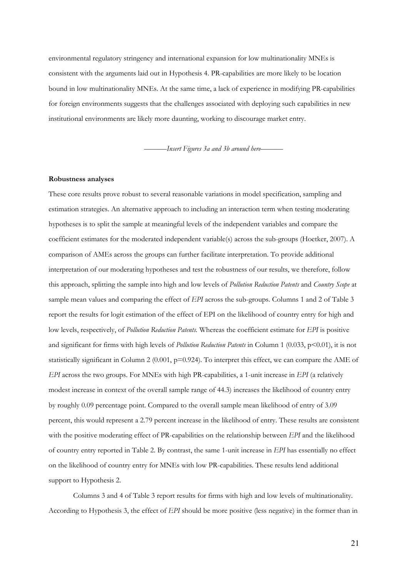environmental regulatory stringency and international expansion for low multinationality MNEs is consistent with the arguments laid out in Hypothesis 4. PR-capabilities are more likely to be location bound in low multinationality MNEs. At the same time, a lack of experience in modifying PR-capabilities for foreign environments suggests that the challenges associated with deploying such capabilities in new institutional environments are likely more daunting, working to discourage market entry.

———*Insert Figures 3a and 3b around here*———

#### **Robustness analyses**

These core results prove robust to several reasonable variations in model specification, sampling and estimation strategies. An alternative approach to including an interaction term when testing moderating hypotheses is to split the sample at meaningful levels of the independent variables and compare the coefficient estimates for the moderated independent variable(s) across the sub-groups (Hoetker, 2007). A comparison of AMEs across the groups can further facilitate interpretation. To provide additional interpretation of our moderating hypotheses and test the robustness of our results, we therefore, follow this approach, splitting the sample into high and low levels of *Pollution Reduction Patents* and *Country Scope* at sample mean values and comparing the effect of *EPI* across the sub-groups. Columns 1 and 2 of Table 3 report the results for logit estimation of the effect of EPI on the likelihood of country entry for high and low levels, respectively, of *Pollution Reduction Patents.* Whereas the coefficient estimate for *EPI* is positive and significant for firms with high levels of *Pollution Reduction Patents* in Column 1 (0.033, p<0.01), it is not statistically significant in Column 2 (0.001,  $p=0.924$ ). To interpret this effect, we can compare the AME of *EPI* across the two groups. For MNEs with high PR-capabilities, a 1-unit increase in *EPI* (a relatively modest increase in context of the overall sample range of 44.3) increases the likelihood of country entry by roughly 0.09 percentage point. Compared to the overall sample mean likelihood of entry of 3.09 percent, this would represent a 2.79 percent increase in the likelihood of entry. These results are consistent with the positive moderating effect of PR-capabilities on the relationship between *EPI* and the likelihood of country entry reported in Table 2. By contrast, the same 1-unit increase in *EPI* has essentially no effect on the likelihood of country entry for MNEs with low PR-capabilities. These results lend additional support to Hypothesis 2.

 Columns 3 and 4 of Table 3 report results for firms with high and low levels of multinationality. According to Hypothesis 3, the effect of *EPI* should be more positive (less negative) in the former than in

21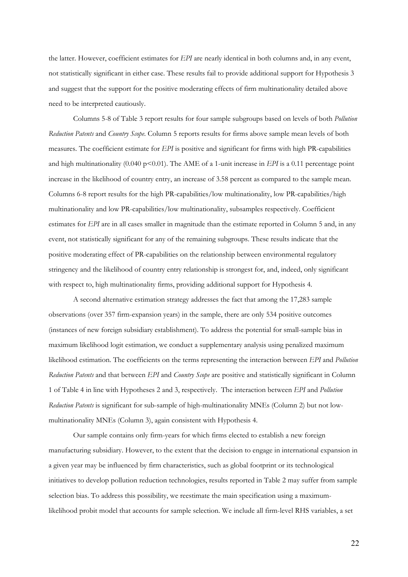the latter. However, coefficient estimates for *EPI* are nearly identical in both columns and, in any event, not statistically significant in either case. These results fail to provide additional support for Hypothesis 3 and suggest that the support for the positive moderating effects of firm multinationality detailed above need to be interpreted cautiously.

 Columns 5-8 of Table 3 report results for four sample subgroups based on levels of both *Pollution Reduction Patents* and *Country Scope*. Column 5 reports results for firms above sample mean levels of both measures. The coefficient estimate for *EPI* is positive and significant for firms with high PR-capabilities and high multinationality (0.040 p $\leq$ 0.01). The AME of a 1-unit increase in *EPI* is a 0.11 percentage point increase in the likelihood of country entry, an increase of 3.58 percent as compared to the sample mean. Columns 6-8 report results for the high PR-capabilities/low multinationality, low PR-capabilities/high multinationality and low PR-capabilities/low multinationality, subsamples respectively. Coefficient estimates for *EPI* are in all cases smaller in magnitude than the estimate reported in Column 5 and, in any event, not statistically significant for any of the remaining subgroups. These results indicate that the positive moderating effect of PR-capabilities on the relationship between environmental regulatory stringency and the likelihood of country entry relationship is strongest for, and, indeed, only significant with respect to, high multinationality firms, providing additional support for Hypothesis 4.

 A second alternative estimation strategy addresses the fact that among the 17,283 sample observations (over 357 firm-expansion years) in the sample, there are only 534 positive outcomes (instances of new foreign subsidiary establishment). To address the potential for small-sample bias in maximum likelihood logit estimation, we conduct a supplementary analysis using penalized maximum likelihood estimation. The coefficients on the terms representing the interaction between *EPI* and *Pollution Reduction Patents* and that between *EPI* and *Country Scope* are positive and statistically significant in Column 1 of Table 4 in line with Hypotheses 2 and 3, respectively. The interaction between *EPI* and *Pollution Reduction Patents* is significant for sub-sample of high-multinationality MNEs (Column 2) but not lowmultinationality MNEs (Column 3), again consistent with Hypothesis 4.

 Our sample contains only firm-years for which firms elected to establish a new foreign manufacturing subsidiary. However, to the extent that the decision to engage in international expansion in a given year may be influenced by firm characteristics, such as global footprint or its technological initiatives to develop pollution reduction technologies, results reported in Table 2 may suffer from sample selection bias. To address this possibility, we reestimate the main specification using a maximumlikelihood probit model that accounts for sample selection. We include all firm-level RHS variables, a set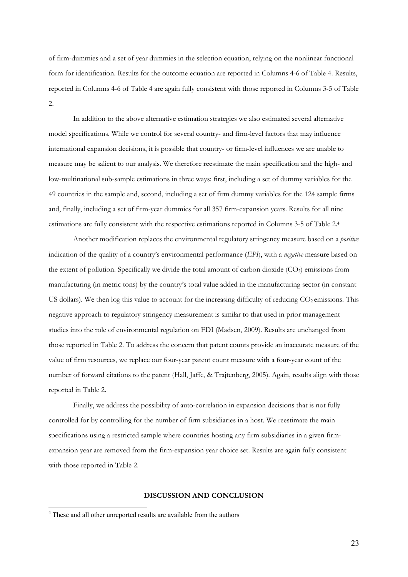of firm-dummies and a set of year dummies in the selection equation, relying on the nonlinear functional form for identification. Results for the outcome equation are reported in Columns 4-6 of Table 4. Results, reported in Columns 4-6 of Table 4 are again fully consistent with those reported in Columns 3-5 of Table 2.

 In addition to the above alternative estimation strategies we also estimated several alternative model specifications. While we control for several country- and firm-level factors that may influence international expansion decisions, it is possible that country- or firm-level influences we are unable to measure may be salient to our analysis. We therefore reestimate the main specification and the high- and low-multinational sub-sample estimations in three ways: first, including a set of dummy variables for the 49 countries in the sample and, second, including a set of firm dummy variables for the 124 sample firms and, finally, including a set of firm-year dummies for all 357 firm-expansion years. Results for all nine estimations are fully consistent with the respective estimations reported in Columns 3-5 of Table 2.4

Another modification replaces the environmental regulatory stringency measure based on a *positive* indication of the quality of a country's environmental performance (*EPI*), with a *negative* measure based on the extent of pollution. Specifically we divide the total amount of carbon dioxide (CO2) emissions from manufacturing (in metric tons) by the country's total value added in the manufacturing sector (in constant US dollars). We then log this value to account for the increasing difficulty of reducing  $CO<sub>2</sub>$  emissions. This negative approach to regulatory stringency measurement is similar to that used in prior management studies into the role of environmental regulation on FDI (Madsen, 2009). Results are unchanged from those reported in Table 2. To address the concern that patent counts provide an inaccurate measure of the value of firm resources, we replace our four-year patent count measure with a four-year count of the number of forward citations to the patent (Hall, Jaffe, & Trajtenberg, 2005). Again, results align with those reported in Table 2.

 Finally, we address the possibility of auto-correlation in expansion decisions that is not fully controlled for by controlling for the number of firm subsidiaries in a host. We reestimate the main specifications using a restricted sample where countries hosting any firm subsidiaries in a given firmexpansion year are removed from the firm-expansion year choice set. Results are again fully consistent with those reported in Table 2.

### **DISCUSSION AND CONCLUSION**

1

<sup>&</sup>lt;sup>4</sup> These and all other unreported results are available from the authors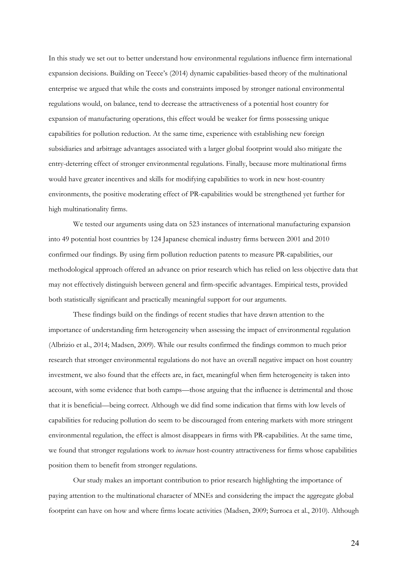In this study we set out to better understand how environmental regulations influence firm international expansion decisions. Building on Teece's (2014) dynamic capabilities-based theory of the multinational enterprise we argued that while the costs and constraints imposed by stronger national environmental regulations would, on balance, tend to decrease the attractiveness of a potential host country for expansion of manufacturing operations, this effect would be weaker for firms possessing unique capabilities for pollution reduction. At the same time, experience with establishing new foreign subsidiaries and arbitrage advantages associated with a larger global footprint would also mitigate the entry-deterring effect of stronger environmental regulations. Finally, because more multinational firms would have greater incentives and skills for modifying capabilities to work in new host-country environments, the positive moderating effect of PR-capabilities would be strengthened yet further for high multinationality firms.

 We tested our arguments using data on 523 instances of international manufacturing expansion into 49 potential host countries by 124 Japanese chemical industry firms between 2001 and 2010 confirmed our findings. By using firm pollution reduction patents to measure PR-capabilities, our methodological approach offered an advance on prior research which has relied on less objective data that may not effectively distinguish between general and firm-specific advantages. Empirical tests, provided both statistically significant and practically meaningful support for our arguments.

 These findings build on the findings of recent studies that have drawn attention to the importance of understanding firm heterogeneity when assessing the impact of environmental regulation (Albrizio et al., 2014; Madsen, 2009). While our results confirmed the findings common to much prior research that stronger environmental regulations do not have an overall negative impact on host country investment, we also found that the effects are, in fact, meaningful when firm heterogeneity is taken into account, with some evidence that both camps—those arguing that the influence is detrimental and those that it is beneficial—being correct. Although we did find some indication that firms with low levels of capabilities for reducing pollution do seem to be discouraged from entering markets with more stringent environmental regulation, the effect is almost disappears in firms with PR-capabilities. At the same time, we found that stronger regulations work to *increase* host-country attractiveness for firms whose capabilities position them to benefit from stronger regulations.

Our study makes an important contribution to prior research highlighting the importance of paying attention to the multinational character of MNEs and considering the impact the aggregate global footprint can have on how and where firms locate activities (Madsen, 2009; Surroca et al., 2010). Although

24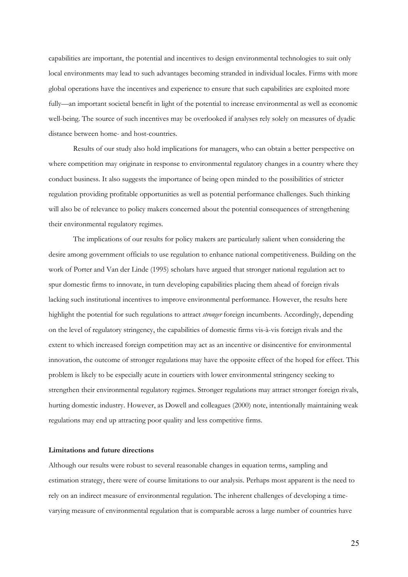capabilities are important, the potential and incentives to design environmental technologies to suit only local environments may lead to such advantages becoming stranded in individual locales. Firms with more global operations have the incentives and experience to ensure that such capabilities are exploited more fully—an important societal benefit in light of the potential to increase environmental as well as economic well-being. The source of such incentives may be overlooked if analyses rely solely on measures of dyadic distance between home- and host-countries.

Results of our study also hold implications for managers, who can obtain a better perspective on where competition may originate in response to environmental regulatory changes in a country where they conduct business. It also suggests the importance of being open minded to the possibilities of stricter regulation providing profitable opportunities as well as potential performance challenges. Such thinking will also be of relevance to policy makers concerned about the potential consequences of strengthening their environmental regulatory regimes.

 The implications of our results for policy makers are particularly salient when considering the desire among government officials to use regulation to enhance national competitiveness. Building on the work of Porter and Van der Linde (1995) scholars have argued that stronger national regulation act to spur domestic firms to innovate, in turn developing capabilities placing them ahead of foreign rivals lacking such institutional incentives to improve environmental performance. However, the results here highlight the potential for such regulations to attract *stronger* foreign incumbents. Accordingly, depending on the level of regulatory stringency, the capabilities of domestic firms vis-à-vis foreign rivals and the extent to which increased foreign competition may act as an incentive or disincentive for environmental innovation, the outcome of stronger regulations may have the opposite effect of the hoped for effect. This problem is likely to be especially acute in courtiers with lower environmental stringency seeking to strengthen their environmental regulatory regimes. Stronger regulations may attract stronger foreign rivals, hurting domestic industry. However, as Dowell and colleagues (2000) note, intentionally maintaining weak regulations may end up attracting poor quality and less competitive firms.

## **Limitations and future directions**

Although our results were robust to several reasonable changes in equation terms, sampling and estimation strategy, there were of course limitations to our analysis. Perhaps most apparent is the need to rely on an indirect measure of environmental regulation. The inherent challenges of developing a timevarying measure of environmental regulation that is comparable across a large number of countries have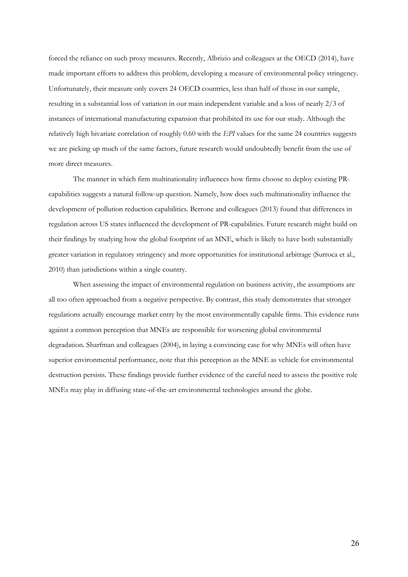forced the reliance on such proxy measures. Recently, Albrizio and colleagues at the OECD (2014), have made important efforts to address this problem, developing a measure of environmental policy stringency. Unfortunately, their measure only covers 24 OECD countries, less than half of those in our sample, resulting in a substantial loss of variation in our main independent variable and a loss of nearly 2/3 of instances of international manufacturing expansion that prohibited its use for our study. Although the relatively high bivariate correlation of roughly 0.60 with the *EPI* values for the same 24 countries suggests we are picking up much of the same factors, future research would undoubtedly benefit from the use of more direct measures.

 The manner in which firm multinationality influences how firms choose to deploy existing PRcapabilities suggests a natural follow-up question. Namely, how does such multinationality influence the development of pollution reduction capabilities. Berrone and colleagues (2013) found that differences in regulation across US states influenced the development of PR-capabilities. Future research might build on their findings by studying how the global footprint of an MNE, which is likely to have both substantially greater variation in regulatory stringency and more opportunities for institutional arbitrage (Surroca et al., 2010) than jurisdictions within a single country.

When assessing the impact of environmental regulation on business activity, the assumptions are all too often approached from a negative perspective. By contrast, this study demonstrates that stronger regulations actually encourage market entry by the most environmentally capable firms. This evidence runs against a common perception that MNEs are responsible for worsening global environmental degradation. Sharfman and colleagues (2004), in laying a convincing case for why MNEs will often have superior environmental performance, note that this perception as the MNE as vehicle for environmental destruction persists. These findings provide further evidence of the careful need to assess the positive role MNEs may play in diffusing state-of-the-art environmental technologies around the globe.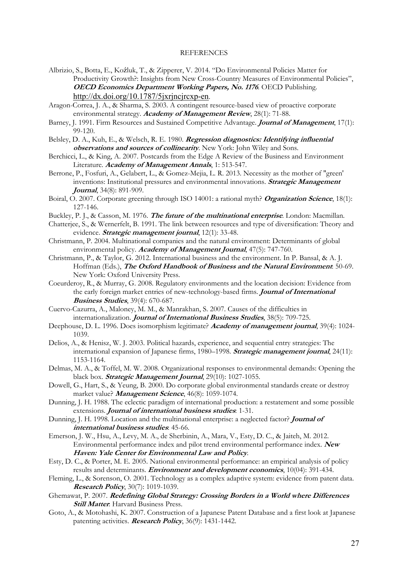#### **REFERENCES**

- Albrizio, S., Botta, E., Koźluk, T., & Zipperer, V. 2014. "Do Environmental Policies Matter for Productivity Growth?: Insights from New Cross-Country Measures of Environmental Policies", **OECD Economics Department Working Papers, No. 1176**. OECD Publishing. http://dx.doi.org/10.1787/5jxrjncjrcxp-en.
- Aragon-Correa, J. A., & Sharma, S. 2003. A contingent resource-based view of proactive corporate environmental strategy. **Academy of Management Review**, 28(1): 71-88.
- Barney, J. 1991. Firm Resources and Sustained Competitive Advantage. **Journal of Management**, 17(1): 99-120.
- Belsley, D. A., Kuh, E., & Welsch, R. E. 1980. **Regression diagnostics: Identifying influential observations and sources of collinearity**. New York: John Wiley and Sons.
- Berchicci, L., & King, A. 2007. Postcards from the Edge A Review of the Business and Environment Literature. **Academy of Management Annals**, 1: 513-547.
- Berrone, P., Fosfuri, A., Gelabert, L., & Gomez-Mejia, L. R. 2013. Necessity as the mother of "green' inventions: Institutional pressures and environmental innovations. **Strategic Management Journal**, 34(8): 891-909.
- Boiral, O. 2007. Corporate greening through ISO 14001: a rational myth? **Organization Science**, 18(1): 127-146.
- Buckley, P. J., & Casson, M. 1976. **The future of the multinational enterprise**. London: Macmillan.
- Chatterjee, S., & Wernerfelt, B. 1991. The link between resources and type of diversification: Theory and evidence. **Strategic management journal**, 12(1): 33-48.
- Christmann, P. 2004. Multinational companies and the natural environment: Determinants of global environmental policy. **Academy of Management Journal**, 47(5): 747-760.
- Christmann, P., & Taylor, G. 2012. International business and the environment. In P. Bansal, & A. J. Hoffman (Eds.), **The Oxford Handbook of Business and the Natural Environment**: 50-69. New York: Oxford University Press.
- Coeurderoy, R., & Murray, G. 2008. Regulatory environments and the location decision: Evidence from the early foreign market entries of new-technology-based firms. **Journal of International Business Studies**, 39(4): 670-687.
- Cuervo-Cazurra, A., Maloney, M. M., & Manrakhan, S. 2007. Causes of the difficulties in internationalization. **Journal of International Business Studies**, 38(5): 709-725.
- Deephouse, D. L. 1996. Does isomorphism legitimate? **Academy of management journal**, 39(4): 1024- 1039.
- Delios, A., & Henisz, W. J. 2003. Political hazards, experience, and sequential entry strategies: The international expansion of Japanese firms, 1980–1998. **Strategic management journal**, 24(11): 1153-1164.
- Delmas, M. A., & Toffel, M. W. 2008. Organizational responses to environmental demands: Opening the black box. **Strategic Management Journal**, 29(10): 1027-1055.
- Dowell, G., Hart, S., & Yeung, B. 2000. Do corporate global environmental standards create or destroy market value? **Management Science**, 46(8): 1059-1074.
- Dunning, J. H. 1988. The eclectic paradigm of international production: a restatement and some possible extensions. **Journal of international business studies**: 1-31.
- Dunning, J. H. 1998. Location and the multinational enterprise: a neglected factor? **Journal of international business studies**: 45-66.
- Emerson, J. W., Hsu, A., Levy, M. A., de Sherbinin, A., Mara, V., Esty, D. C., & Jaiteh, M. 2012. Environmental performance index and pilot trend environmental performance index. **New Haven: Yale Center for Environmental Law and Policy**.
- Esty, D. C., & Porter, M. E. 2005. National environmental performance: an empirical analysis of policy results and determinants. **Environment and development economics**, 10(04): 391-434.
- Fleming, L., & Sorenson, O. 2001. Technology as a complex adaptive system: evidence from patent data. **Research Policy**, 30(7): 1019-1039.
- Ghemawat, P. 2007. **Redefining Global Strategy: Crossing Borders in a World where Differences**  *Still Matter*: Harvard Business Press.
- Goto, A., & Motohashi, K. 2007. Construction of a Japanese Patent Database and a first look at Japanese patenting activities. **Research Policy**, 36(9): 1431-1442.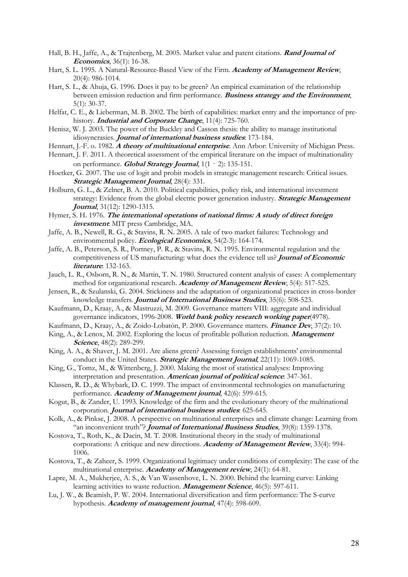- Hall, B. H., Jaffe, A., & Trajtenberg, M. 2005. Market value and patent citations. **Rand Journal of Economics**, 36(1): 16-38.
- Hart, S. L. 1995. A Natural-Resource-Based View of the Firm. **Academy of Management Review**, 20(4): 986-1014.
- Hart, S. L., & Ahuja, G. 1996. Does it pay to be green? An empirical examination of the relationship between emission reduction and firm performance. **Business strategy and the Environment**, 5(1): 30-37.
- Helfat, C. E., & Lieberman, M. B. 2002. The birth of capabilities: market entry and the importance of prehistory. **Industrial and Corporate Change**, 11(4): 725-760.
- Henisz, W. J. 2003. The power of the Buckley and Casson thesis: the ability to manage institutional idiosyncrasies. **Journal of international business studies**: 173-184.
- Hennart, J.-F. o. 1982. **A theory of multinational enterprise**. Ann Arbor: University of Michigan Press.
- Hennart, J. F. 2011. A theoretical assessment of the empirical literature on the impact of multinationality on performance. **Global Strategy Journal**, 1(1‐2): 135-151.
- Hoetker, G. 2007. The use of logit and probit models in strategic management research: Critical issues. **Strategic Management Journal**, 28(4): 331.
- Holburn, G. L., & Zelner, B. A. 2010. Political capabilities, policy risk, and international investment strategy: Evidence from the global electric power generation industry. **Strategic Management Journal**, 31(12): 1290-1315.
- Hymer, S. H. 1976. **The international operations of national firms: A study of direct foreign investment**: MIT press Cambridge, MA.
- Jaffe, A. B., Newell, R. G., & Stavins, R. N. 2005. A tale of two market failures: Technology and environmental policy. **Ecological Economics**, 54(2-3): 164-174.
- Jaffe, A. B., Peterson, S. R., Portney, P. R., & Stavins, R. N. 1995. Environmental regulation and the competitiveness of US manufacturing: what does the evidence tell us? **Journal of Economic literature**: 132-163.
- Jauch, L. R., Osborn, R. N., & Martin, T. N. 1980. Structured content analysis of cases: A complementary method for organizational research. **Academy of Management Review**, 5(4): 517-525.
- Jensen, R., & Szulanski, G. 2004. Stickiness and the adaptation of organizational practices in cross-border knowledge transfers. **Journal of International Business Studies**, 35(6): 508-523.
- Kaufmann, D., Kraay, A., & Mastruzzi, M. 2009. Governance matters VIII: aggregate and individual governance indicators, 1996-2008. **World bank policy research working paper**(4978).

Kaufmann, D., Kraay, A., & Zoido-Lobatón, P. 2000. Governance matters. **Finance Dev**, 37(2): 10.

- King, A., & Lenox, M. 2002. Exploring the locus of profitable pollution reduction. **Management Science**, 48(2): 289-299.
- King, A. A., & Shaver, J. M. 2001. Are aliens green? Assessing foreign establishments' environmental conduct in the United States. **Strategic Management Journal**, 22(11): 1069-1085.
- King, G., Tomz, M., & Wittenberg, J. 2000. Making the most of statistical analyses: Improving interpretation and presentation. **American journal of political science**: 347-361.
- Klassen, R. D., & Whybark, D. C. 1999. The impact of environmental technologies on manufacturing performance. **Academy of Management journal**, 42(6): 599-615.
- Kogut, B., & Zander, U. 1993. Knowledge of the firm and the evolutionary theory of the multinational corporation. **Journal of international business studies**: 625-645.
- Kolk, A., & Pinkse, J. 2008. A perspective on multinational enterprises and climate change: Learning from "an inconvenient truth"? **Journal of International Business Studies**, 39(8): 1359-1378.
- Kostova, T., Roth, K., & Dacin, M. T. 2008. Institutional theory in the study of multinational corporations: A critique and new directions. **Academy of Management Review**, 33(4): 994- 1006.
- Kostova, T., & Zaheer, S. 1999. Organizational legitimacy under conditions of complexity: The case of the multinational enterprise. **Academy of Management review**, 24(1): 64-81.
- Lapre, M. A., Mukherjee, A. S., & Van Wassenhove, L. N. 2000. Behind the learning curve: Linking learning activities to waste reduction. **Management Science**, 46(5): 597-611.
- Lu, J. W., & Beamish, P. W. 2004. International diversification and firm performance: The S-curve hypothesis. **Academy of management journal**, 47(4): 598-609.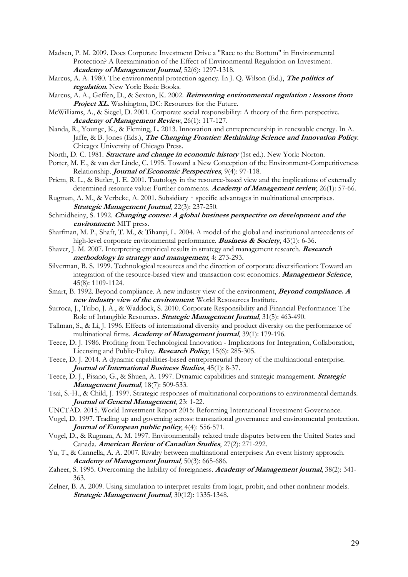- Madsen, P. M. 2009. Does Corporate Investment Drive a "Race to the Bottom" in Environmental Protection? A Reexamination of the Effect of Environmental Regulation on Investment. **Academy of Management Journal**, 52(6): 1297-1318.
- Marcus, A. A. 1980. The environmental protection agency. In J. Q. Wilson (Ed.), **The politics of regulation**. New York: Basic Books.
- Marcus, A. A., Geffen, D., & Sexton, K. 2002. **Reinventing environmental regulation : lessons from Project XL.** Washington, DC: Resources for the Future.
- McWilliams, A., & Siegel, D. 2001. Corporate social responsibility: A theory of the firm perspective. **Academy of Management Review**, 26(1): 117-127.
- Nanda, R., Younge, K., & Fleming, L. 2013. Innovation and entrepreneurship in renewable energy. In A. Jaffe, & B. Jones (Eds.), **The Changing Frontier: Rethinking Science and Innovation Policy**. Chicago: University of Chicago Press.
- North, D. C. 1981. **Structure and change in economic history** (1st ed.). New York: Norton.
- Porter, M. E., & van der Linde, C. 1995. Toward a New Conception of the Environment-Competitiveness Relationship. **Journal of Economic Perspectives**, 9(4): 97-118.
- Priem, R. L., & Butler, J. E. 2001. Tautology in the resource-based view and the implications of externally determined resource value: Further comments. **Academy of Management review**, 26(1): 57-66.
- Rugman, A. M., & Verbeke, A. 2001. Subsidiary specific advantages in multinational enterprises. **Strategic Management Journal**, 22(3): 237-250.
- Schmidheiny, S. 1992. *Changing course: A global business perspective on development and the* **environment**: MIT press.
- Sharfman, M. P., Shaft, T. M., & Tihanyi, L. 2004. A model of the global and institutional antecedents of high-level corporate environmental performance. **Business & Society**, 43(1): 6-36.
- Shaver, J. M. 2007. Interpreting empirical results in strategy and management research. **Research methodology in strategy and management**, 4: 273-293.
- Silverman, B. S. 1999. Technological resources and the direction of corporate diversification: Toward an integration of the resource-based view and transaction cost economics. **Management Science**, 45(8): 1109-1124.
- Smart, B. 1992. Beyond compliance. A new industry view of the environment, **Beyond compliance. A new industry view of the environment**: World Resosurces Institute.
- Surroca, J., Tribo, J. A., & Waddock, S. 2010. Corporate Responsibility and Financial Performance: The Role of Intangible Resources. **Strategic Management Journal**, 31(5): 463-490.
- Tallman, S., & Li, J. 1996. Effects of international diversity and product diversity on the performance of multinational firms. **Academy of Management journal**, 39(1): 179-196.
- Teece, D. J. 1986. Profiting from Technological Innovation Implications for Integration, Collaboration, Licensing and Public-Policy. **Research Policy**, 15(6): 285-305.
- Teece, D. J. 2014. A dynamic capabilities-based entrepreneurial theory of the multinational enterprise. **Journal of International Business Studies**, 45(1): 8-37.
- Teece, D. J., Pisano, G., & Shuen, A. 1997. Dynamic capabilities and strategic management. **Strategic Management Journal**, 18(7): 509-533.
- Tsai, S.-H., & Child, J. 1997. Strategic responses of multinational corporations to environmental demands. **Journal of General Management**, 23: 1-22.
- UNCTAD. 2015. World Investment Report 2015: Reforming International Investment Governance.
- Vogel, D. 1997. Trading up and governing across: transnational governance and environmental protection. **Journal of European public policy**, 4(4): 556-571.
- Vogel, D., & Rugman, A. M. 1997. Environmentally related trade disputes between the United States and Canada. **American Review of Canadian Studies**, 27(2): 271-292.
- Yu, T., & Cannella, A. A. 2007. Rivalry between multinational enterprises: An event history approach. **Academy of Management Journal**, 50(3): 665-686.
- Zaheer, S. 1995. Overcoming the liability of foreignness. **Academy of Management journal**, 38(2): 341- 363.
- Zelner, B. A. 2009. Using simulation to interpret results from logit, probit, and other nonlinear models. **Strategic Management Journal**, 30(12): 1335-1348.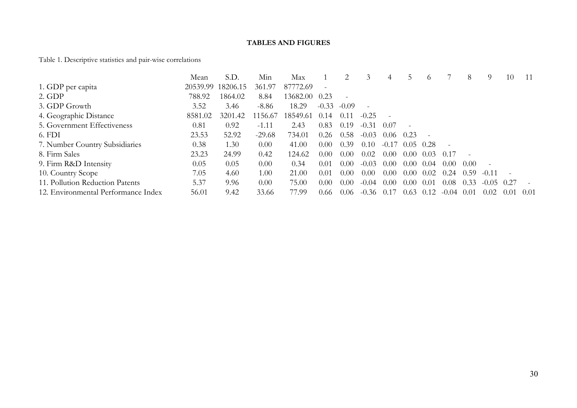#### **TABLES AND FIGURES**

# Table 1. Descriptive statistics and pair-wise correlations

|                                     | Mean     | S.D.     | Min      | Max      |                  |         | 3       | 4                   |        | $\Omega$ |           | 8      | 9       | 10   |        |
|-------------------------------------|----------|----------|----------|----------|------------------|---------|---------|---------------------|--------|----------|-----------|--------|---------|------|--------|
| 1. GDP per capita                   | 20539.99 | 18206.15 | 361.97   | 87772.69 |                  |         |         |                     |        |          |           |        |         |      |        |
| 2. GDP                              | 788.92   | 1864.02  | 8.84     | 13682.00 | 0.23             |         |         |                     |        |          |           |        |         |      |        |
| 3. GDP Growth                       | 3.52     | 3.46     | $-8.86$  | 18.29    | $-0.33$          | $-0.09$ |         |                     |        |          |           |        |         |      |        |
| 4. Geographic Distance              | 8581.02  | 3201.42  | 156.67   | 18549.61 | 14<br>$\theta$ . | 0.11    | $-0.25$ | $\overline{a}$      |        |          |           |        |         |      |        |
| 5. Government Effectiveness         | 0.81     | 0.92     | $-1.11$  | 2.43     | 0.83             | 0.19    | $-0.31$ | 0.07                | $\sim$ |          |           |        |         |      |        |
| 6. FDI                              | 23.53    | 52.92    | $-29.68$ | 734.01   | 0.26             | 0.58    | $-0.03$ | (0.06)              | 0.23   |          |           |        |         |      |        |
| 7. Number Country Subsidiaries      | 0.38     | 1.30     | 0.00     | 41.00    | 0.00             | 0.39    | 0.10    | $-0.1$ <sup>'</sup> | (0.05) | 0.28     |           |        |         |      |        |
| 8. Firm Sales                       | 23.23    | 24.99    | 0.42     | 124.62   | 0.00             | 0.00    | 0.02    | 0.00                | 0.00   | 0.03     | 0.17      |        |         |      |        |
| 9. Firm R&D Intensity               | 0.05     | 0.05     | 0.00     | 0.34     | 0.01             | 0.00    | $-0.03$ | 0.00                | 0.00   | 0.04     | (0.00)    | 0.00   |         |      |        |
| 10. Country Scope                   | 7.05     | 4.60     | 1.00     | 21.00    | 0.01             | 0.00    | 0.00    | 0.00                | 0.00   | 0.02     | 0.24      | 0.59   | $-0.11$ |      |        |
| 11. Pollution Reduction Patents     | 5.37     | 9.96     | 0.00     | 75.00    | 0.00             | 0.00    | $-0.04$ | 0.00                | 0.00   | 0.01     | 0.08      | 0.33   | $-0.05$ | 0.27 |        |
| 12. Environmental Performance Index | 56.01    | 9.42     | 33.66    | 77.99    | 0.66             | 0.06    | $-0.36$ | (0.17)              | 0.63   | 0.12     | $-(1.04)$ | (0.01) | 0.02    | 0.01 | (0.01) |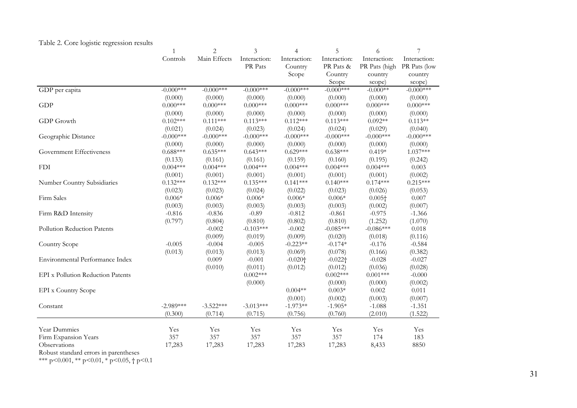|  | Table 2. Core logistic regression results |  |
|--|-------------------------------------------|--|
|  |                                           |  |

|                                          | $\mathbf{1}$ | $\overline{c}$ | 3            | 4            | 5                     | 6             | 7            |
|------------------------------------------|--------------|----------------|--------------|--------------|-----------------------|---------------|--------------|
|                                          | Controls     | Main Effects   | Interaction: | Interaction: | Interaction:          | Interaction:  | Interaction: |
|                                          |              |                | PR Pats      | Country      | PR Pats &             | PR Pats (high | PR Pats (low |
|                                          |              |                |              | Scope        | Country               | country       | country      |
|                                          |              |                |              |              | Scope                 | scope)        | scope)       |
| GDP per capita                           | $-0.000$ *** | $-0.000$ ***   | $-0.000$ *** | $-0.000$ *** | $-0.000$ ***          | $-0.000**$    | $-0.000$ *** |
|                                          | (0.000)      | (0.000)        | (0.000)      | (0.000)      | (0.000)               | (0.000)       | (0.000)      |
| <b>GDP</b>                               | $0.000***$   | $0.000***$     | $0.000***$   | $0.000***$   | $0.000***$            | $0.000***$    | $0.000$ ***  |
|                                          | (0.000)      | (0.000)        | (0.000)      | (0.000)      | (0.000)               | (0.000)       | (0.000)      |
| GDP Growth                               | $0.102***$   | $0.111***$     | $0.113***$   | $0.112***$   | $0.113***$            | $0.092**$     | $0.113**$    |
|                                          | (0.021)      | (0.024)        | (0.023)      | (0.024)      | (0.024)               | (0.029)       | (0.040)      |
| Geographic Distance                      | $-0.000$ *** | $-0.000$ ***   | $-0.000$ *** | $-0.000$ *** | $-0.000$ ***          | $-0.000$ ***  | $-0.000$ *** |
|                                          | (0.000)      | (0.000)        | (0.000)      | (0.000)      | (0.000)               | (0.000)       | (0.000)      |
| Government Effectiveness                 | $0.688***$   | $0.635***$     | $0.643***$   | $0.629***$   | $0.638***$            | $0.419*$      | $1.037***$   |
|                                          | (0.133)      | (0.161)        | (0.161)      | (0.159)      | (0.160)               | (0.195)       | (0.242)      |
| <b>FDI</b>                               | $0.004***$   | $0.004***$     | $0.004***$   | $0.004***$   | $0.004***$            | $0.004***$    | 0.003        |
|                                          | (0.001)      | (0.001)        | (0.001)      | (0.001)      | (0.001)               | (0.001)       | (0.002)      |
| Number Country Subsidiaries              | $0.132***$   | $0.132***$     | $0.135***$   | $0.141***$   | $0.140***$            | $0.174***$    | $0.215***$   |
|                                          | (0.023)      | (0.023)        | (0.024)      | (0.022)      | (0.023)               | (0.026)       | (0.053)      |
| Firm Sales                               | $0.006*$     | $0.006*$       | $0.006*$     | $0.006*$     | $0.006*$              | $0.005+$      | 0.007        |
|                                          | (0.003)      | (0.003)        | (0.003)      | (0.003)      | (0.003)               | (0.002)       | (0.007)      |
| Firm R&D Intensity                       | $-0.816$     | $-0.836$       | $-0.89$      | $-0.812$     | $-0.861$              | $-0.975$      | $-1.366$     |
|                                          | (0.797)      | (0.804)        | (0.810)      | (0.802)      | (0.810)               | (1.252)       | (1.070)      |
| Pollution Reduction Patents              |              | $-0.002$       | $-0.103***$  | $-0.002$     | $-0.085***$           | $-0.086***$   | 0.018        |
|                                          |              | (0.009)        | (0.019)      | (0.009)      | (0.020)               | (0.018)       | (0.116)      |
| Country Scope                            | $-0.005$     | $-0.004$       | $-0.005$     | $-0.223**$   | $-0.174*$             | $-0.176$      | $-0.584$     |
|                                          | (0.013)      | (0.013)        | (0.013)      | (0.069)      | (0.078)               | (0.166)       | (0.382)      |
| Environmental Performance Index          |              | 0.009          | $-0.001$     | $-0.020 +$   | $-0.022$ <sup>+</sup> | $-0.028$      | $-0.027$     |
|                                          |              | (0.010)        | (0.011)      | (0.012)      | (0.012)               | (0.036)       | (0.028)      |
| <b>EPI</b> x Pollution Reduction Patents |              |                | $0.002***$   |              | $0.002***$            | $0.001***$    | $-0.000$     |
|                                          |              |                | (0.000)      |              | (0.000)               | (0.000)       | (0.002)      |
| <b>EPI</b> x Country Scope               |              |                |              | $0.004**$    | $0.003*$              | 0.002         | $0.011\,$    |
|                                          |              |                |              | (0.001)      | (0.002)               | (0.003)       | (0.007)      |
| Constant                                 | $-2.989***$  | $-3.522***$    | $-3.013***$  | $-1.973**$   | $-1.905*$             | $-1.088$      | $-1.351$     |
|                                          | (0.300)      | (0.714)        | (0.715)      | (0.756)      | (0.760)               | (2.010)       | (1.522)      |
| Year Dummies                             | Yes          | Yes            | Yes          | Yes          | Yes                   | Yes           | Yes          |
| Firm Expansion Years                     | 357          | 357            | 357          | 357          | 357                   | 174           | 183          |
| Observations                             | 17,283       | 17,283         | 17,283       | 17,283       | 17,283                | 8,433         | 8850         |
| Robust standard errors in parentheses    |              |                |              |              |                       |               |              |

\*\*\* p<0.001, \*\* p<0.01, \* p<0.05,  $\dagger$  p<0.1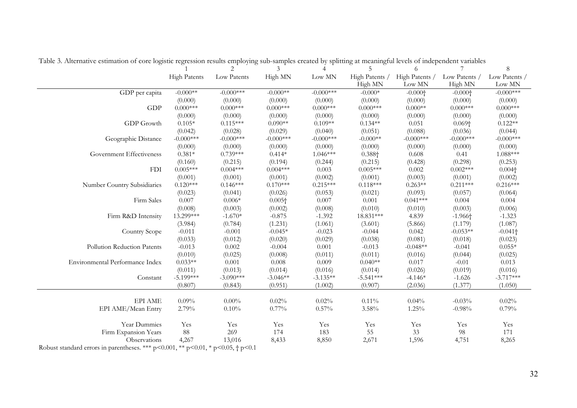|                                                                                              |                     | 2            | 3              | $\overline{4}$ | 5              | 6                     |                       | 8               |
|----------------------------------------------------------------------------------------------|---------------------|--------------|----------------|----------------|----------------|-----------------------|-----------------------|-----------------|
|                                                                                              | <b>High Patents</b> | Low Patents  | High MN        | ${\rm Low}$ MN | High Patents / | High Patents /        | Low Patents /         | Low Patents /   |
|                                                                                              |                     |              |                |                | High MN        | Low MN                | High MN               | Low MN          |
| GDP per capita                                                                               | $-0.000**$          | $-0.000$ *** | $-0.000**$     | $-0.000$ ***   | $-0.000*$      | $-0.000$ <sup>+</sup> | $-0.000$ <sup>+</sup> | $-0.000$ ***    |
|                                                                                              | (0.000)             | (0.000)      | (0.000)        | (0.000)        | (0.000)        | (0.000)               | (0.000)               | (0.000)         |
| GDP                                                                                          | $0.000***$          | $0.000***$   | $0.000***$     | $0.000***$     | $0.000***$     | $0.000**$             | $0.000$ ***           | $0.000$ ***     |
|                                                                                              | (0.000)             | (0.000)      | (0.000)        | (0.000)        | (0.000)        | (0.000)               | (0.000)               | (0.000)         |
| GDP Growth                                                                                   | $0.105*$            | $0.115***$   | $0.090**$      | $0.109**$      | $0.134**$      | 0.051                 | $0.069\dagger$        | $0.122**$       |
|                                                                                              | (0.042)             | (0.028)      | (0.029)        | (0.040)        | (0.051)        | (0.088)               | (0.036)               | (0.044)         |
| Geographic Distance                                                                          | $-0.000$ ***        | $-0.000$ *** | $-0.000$ ***   | $-0.000***$    | $-0.000**$     | $-0.000$ ***          | $-0.000$ ***          | $-0.000***$     |
|                                                                                              | (0.000)             | (0.000)      | (0.000)        | (0.000)        | (0.000)        | (0.000)               | (0.000)               | (0.000)         |
| Government Effectiveness                                                                     | $0.381*$            | $0.739***$   | $0.414*$       | $1.046***$     | $0.388\dagger$ | 0.608                 | 0.41                  | $1.088***$      |
|                                                                                              | (0.160)             | (0.215)      | (0.194)        | (0.244)        | (0.215)        | (0.428)               | (0.298)               | (0.253)         |
| <b>FDI</b>                                                                                   | $0.005***$          | $0.004***$   | $0.004***$     | 0.003          | $0.005***$     | 0.002                 | $0.002***$            | $0.004\dagger$  |
|                                                                                              | (0.001)             | (0.001)      | (0.001)        | (0.002)        | (0.001)        | (0.003)               | (0.001)               | (0.002)         |
| Number Country Subsidiaries                                                                  | $0.120***$          | $0.146***$   | $0.170***$     | $0.215***$     | $0.118***$     | $0.263**$             | $0.211***$            | $0.216***$      |
|                                                                                              | (0.023)             | (0.041)      | (0.026)        | (0.053)        | (0.021)        | (0.093)               | (0.057)               | (0.064)         |
| Firm Sales                                                                                   | 0.007               | $0.006*$     | $0.005\dagger$ | 0.007          | 0.001          | $0.041***$            | 0.004                 | 0.004           |
|                                                                                              | (0.008)             | (0.003)      | (0.002)        | (0.008)        | (0.010)        | (0.010)               | (0.003)               | (0.006)         |
| Firm R&D Intensity                                                                           | 13.299***           | $-1.670*$    | $-0.875$       | $-1.392$       | 18.831***      | 4.839                 | $-1.966$ <sup>+</sup> | $-1.323$        |
|                                                                                              | (3.984)             | (0.784)      | (1.231)        | (1.061)        | (3.601)        | (5.866)               | (1.179)               | (1.087)         |
| Country Scope                                                                                | $-0.011$            | $-0.001$     | $-0.045*$      | $-0.023$       | $-0.044$       | 0.042                 | $-0.053**$            | $-0.041\dagger$ |
|                                                                                              | (0.033)             | (0.012)      | (0.020)        | (0.029)        | (0.038)        | (0.081)               | (0.018)               | (0.023)         |
| Pollution Reduction Patents                                                                  | $-0.013$            | 0.002        | $-0.004$       | 0.001          | $-0.013$       | $-0.048**$            | $-0.041$              | $0.055*$        |
|                                                                                              | (0.010)             | (0.025)      | (0.008)        | (0.011)        | (0.011)        | (0.016)               | (0.044)               | (0.025)         |
| Environmental Performance Index                                                              | $0.033**$           | 0.001        | 0.008          | 0.009          | $0.040**$      | 0.017                 | $-0.01$               | 0.013           |
|                                                                                              | (0.011)             | (0.013)      | (0.014)        | (0.016)        | (0.014)        | (0.026)               | (0.019)               | (0.016)         |
| Constant                                                                                     | $-5.199***$         | $-3.090***$  | $-3.046**$     | $-3.135**$     | $-5.541***$    | $-4.146*$             | $-1.626$              | $-3.717***$     |
|                                                                                              | (0.807)             | (0.843)      | (0.951)        | (1.002)        | (0.907)        | (2.036)               | (1.377)               | (1.050)         |
|                                                                                              |                     |              |                |                |                |                       |                       |                 |
| EPI AME                                                                                      | 0.09%               | $0.00\%$     | $0.02\%$       | 0.02%          | 0.11%          | $0.04\%$              | $-0.03%$              | 0.02%           |
| EPI AME/Mean Entry                                                                           | 2.79%               | 0.10%        | $0.77\%$       | $0.57\%$       | 3.58%          | 1.25%                 | $-0.98%$              | 0.79%           |
| Year Dummies                                                                                 | Yes                 | Yes          | Yes            | Yes            | Yes            | Yes                   | Yes                   | Yes             |
| Firm Expansion Years                                                                         | 88                  | 269          | 174            | 183            | 55             | 33                    | 98                    | 171             |
| Observations                                                                                 | 4,267               | 13,016       | 8,433          | 8,850          | 2,671          | 1,596                 | 4,751                 | 8,265           |
| Robust standard errors in perentheses *** $n < 0.001$ ** $n < 0.01$ * $n < 0.05$ + $n < 0.1$ |                     |              |                |                |                |                       |                       |                 |

Table 3. Alternative estimation of core logistic regression results employing sub-samples created by splitting at meaningful levels of independent variables

Robust standard errors in parentheses. \*\*\*  $p<0.001$ , \*\*  $p<0.01$ , \*  $p<0.05$ ,  $\uparrow p<0.1$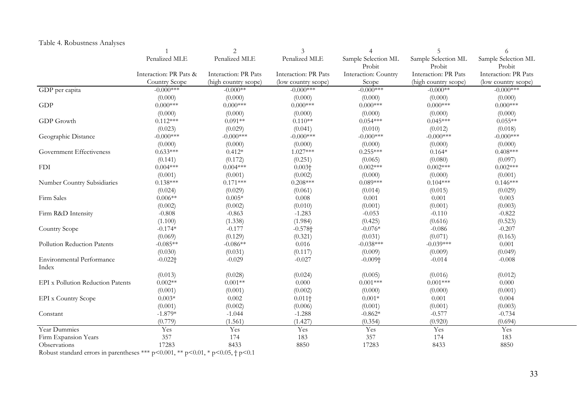# Table 4. Robustness Analyses

|                                   | $\overline{1}$         | 2                    | 3                     | $\overline{4}$        | 5                    | 6                    |
|-----------------------------------|------------------------|----------------------|-----------------------|-----------------------|----------------------|----------------------|
|                                   | Penalized MLE          | Penalized MLE        | Penalized MLE         | Sample Selection ML   | Sample Selection ML  | Sample Selection ML  |
|                                   |                        |                      |                       | Probit                | Probit               | Probit               |
|                                   | Interaction: PR Pats & | Interaction: PR Pats | Interaction: PR Pats  | Interaction: Country  | Interaction: PR Pats | Interaction: PR Pats |
|                                   | Country Scope          | (high country scope) | (low country scope)   | Scope                 | (high country scope) | (low country scope)  |
| GDP per capita                    | $-0.000$ ***           | $-0.000**$           | $-0.000***$           | $-0.000$ ***          | $-0.000**$           | $-0.000$ ***         |
|                                   | (0.000)                | (0.000)              | (0.000)               | (0.000)               | (0.000)              | (0.000)              |
| GDP                               | $0.000***$             | $0.000***$           | $0.000***$            | $0.000$ ***           | $0.000$ ***          | $0.000$ ***          |
|                                   | (0.000)                | (0.000)              | (0.000)               | (0.000)               | (0.000)              | (0.000)              |
| GDP Growth                        | $0.112***$             | $0.091**$            | $0.110**$             | $0.054***$            | $0.045***$           | $0.055**$            |
|                                   | (0.023)                | (0.029)              | (0.041)               | (0.010)               | (0.012)              | (0.018)              |
| Geographic Distance               | $-0.000$ ***           | $-0.000$ ***         | $-0.000$ ***          | $-0.000$ ***          | $-0.000$ ***         | $-0.000$ ***         |
|                                   | (0.000)                | (0.000)              | (0.000)               | (0.000)               | (0.000)              | (0.000)              |
| Government Effectiveness          | $0.633***$             | $0.412*$             | $1.027***$            | $0.255***$            | $0.164*$             | $0.408***$           |
|                                   | (0.141)                | (0.172)              | (0.251)               | (0.065)               | (0.080)              | (0.097)              |
| <b>FDI</b>                        | $0.004***$             | $0.004***$           | $0.003\dagger$        | $0.002***$            | $0.002***$           | $0.002***$           |
|                                   | (0.001)                | (0.001)              | (0.002)               | (0.000)               | (0.000)              | (0.001)              |
| Number Country Subsidiaries       | $0.138***$             | $0.171***$           | $0.208***$            | $0.089***$            | $0.104***$           | $0.146***$           |
|                                   | (0.024)                | (0.029)              | (0.061)               | (0.014)               | (0.015)              | (0.029)              |
| Firm Sales                        | $0.006**$              | $0.005*$             | 0.008                 | 0.001                 | 0.001                | 0.003                |
|                                   | (0.002)                | (0.002)              | (0.010)               | (0.001)               | (0.001)              | (0.003)              |
| Firm R&D Intensity                | $-0.808$               | $-0.863$             | $-1.283$              | $-0.053$              | $-0.110$             | $-0.822$             |
|                                   | (1.100)                | (1.338)              | (1.984)               | (0.425)               | (0.616)              | (0.523)              |
| Country Scope                     | $-0.174*$              | $-0.177$             | $-0.578$ <sup>+</sup> | $-0.076*$             | $-0.086$             | $-0.207$             |
|                                   | (0.069)                | (0.129)              | (0.321)               | (0.031)               | (0.071)              | (0.163)              |
| Pollution Reduction Patents       | $-0.085**$             | $-0.086**$           | 0.016                 | $-0.038***$           | $-0.039***$          | 0.001                |
|                                   | (0.030)                | (0.031)              | (0.117)               | (0.009)               | (0.009)              | (0.049)              |
| Environmental Performance         | $-0.022$ <sup>+</sup>  | $-0.029$             | $-0.027$              | $-0.009$ <sup>+</sup> | $-0.014$             | $-0.008$             |
| Index                             |                        |                      |                       |                       |                      |                      |
|                                   | (0.013)                | (0.028)              | (0.024)               | (0.005)               | (0.016)              | (0.012)              |
| EPI x Pollution Reduction Patents | $0.002**$              | $0.001**$            | $0.000\,$             | $0.001***$            | $0.001***$           | $0.000\,$            |
|                                   | (0.001)                | (0.001)              | (0.002)               | (0.000)               | (0.000)              | (0.001)              |
| <b>EPI</b> x Country Scope        | $0.003*$               | 0.002                | $0.011\dagger$        | $0.001*$              | 0.001                | 0.004                |
|                                   | (0.001)                | (0.002)              | (0.006)               | (0.001)               | (0.001)              | (0.003)              |
| Constant                          | $-1.879*$              | $-1.044$             | $-1.288$              | $-0.862*$             | $-0.577$             | $-0.734$             |
|                                   | (0.779)                | (1.561)              | (1.427)               | (0.354)               | (0.920)              | (0.694)              |
| Year Dummies                      | Yes                    | Yes                  | Yes                   | Yes                   | Yes                  | Yes                  |
| Firm Expansion Years              | 357                    | 174                  | 183                   | 357                   | 174                  | 183                  |
| Observations                      | 17283                  | 8433                 | 8850                  | 17283                 | 8433                 | 8850                 |

Robust standard errors in parentheses \*\*\* p<0.001, \*\* p<0.01, \* p<0.05,  $\dagger$  p<0.1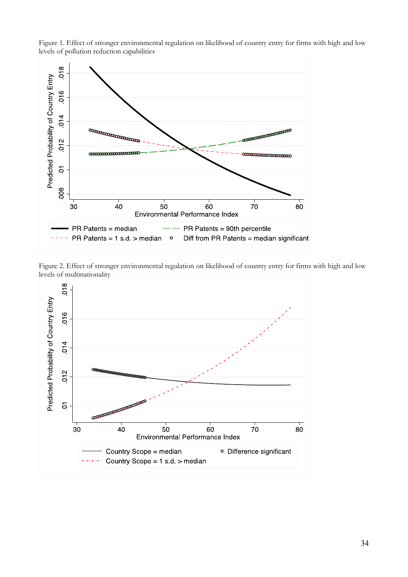

Figure 1. Effect of stronger environmental regulation on likelihood of country entry for firms with high and low levels of pollution reduction capabilities

Figure 2. Effect of stronger environmental regulation on likelihood of country entry for firms with high and low levels of multinationality